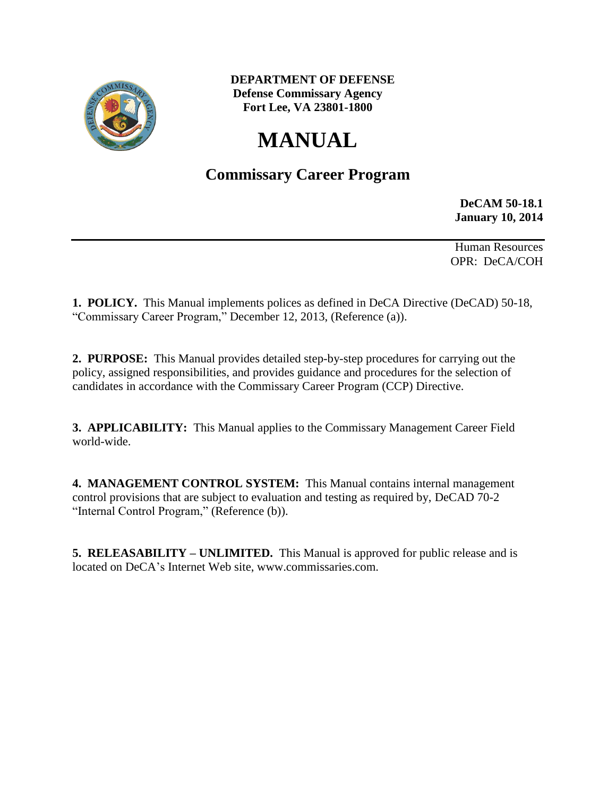

 **DEPARTMENT OF DEFENSE Defense Commissary Agency Fort Lee, VA 23801-1800**

# **MANUAL**

# **Commissary Career Program**

**DeCAM 50-18.1 January 10, 2014**

Human Resources OPR: DeCA/COH

**1. POLICY.** This Manual implements polices as defined in DeCA Directive (DeCAD) 50-18, "Commissary Career Program," December 12, 2013, (Reference (a)).

**2. PURPOSE:** This Manual provides detailed step-by-step procedures for carrying out the policy, assigned responsibilities, and provides guidance and procedures for the selection of candidates in accordance with the Commissary Career Program (CCP) Directive.

**3. APPLICABILITY:** This Manual applies to the Commissary Management Career Field world-wide.

**4. MANAGEMENT CONTROL SYSTEM:** This Manual contains internal management control provisions that are subject to evaluation and testing as required by, DeCAD 70-2 "Internal Control Program," (Reference (b)).

**5. RELEASABILITY – UNLIMITED.** This Manual is approved for public release and is located on DeCA's Internet Web site, www.commissaries.com.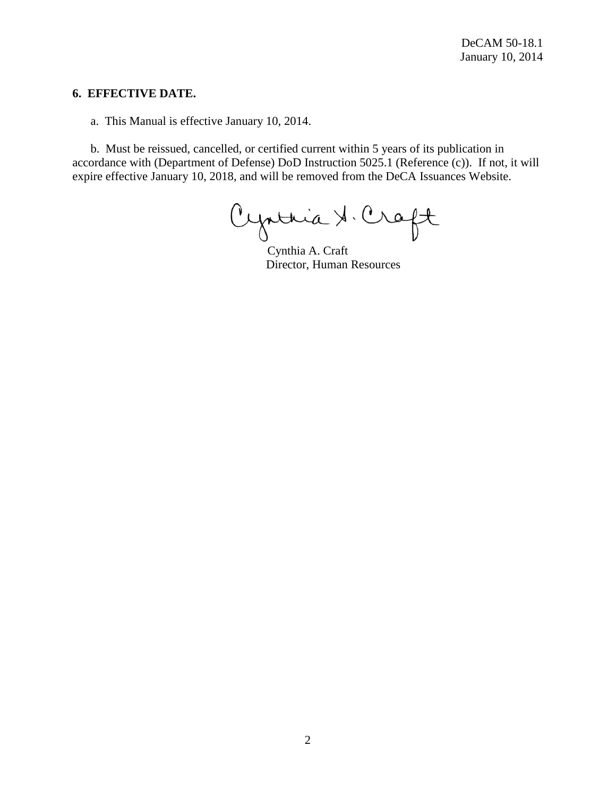#### **6. EFFECTIVE DATE.**

a.This Manual is effective January 10, 2014.

b. Must be reissued, cancelled, or certified current within 5 years of its publication in accordance with (Department of Defense) DoD Instruction 5025.1 (Reference (c)). If not, it will expire effective January 10, 2018, and will be removed from the DeCA Issuances Website.

Cynthia & Craft

Cynthia A. Craft Director, Human Resources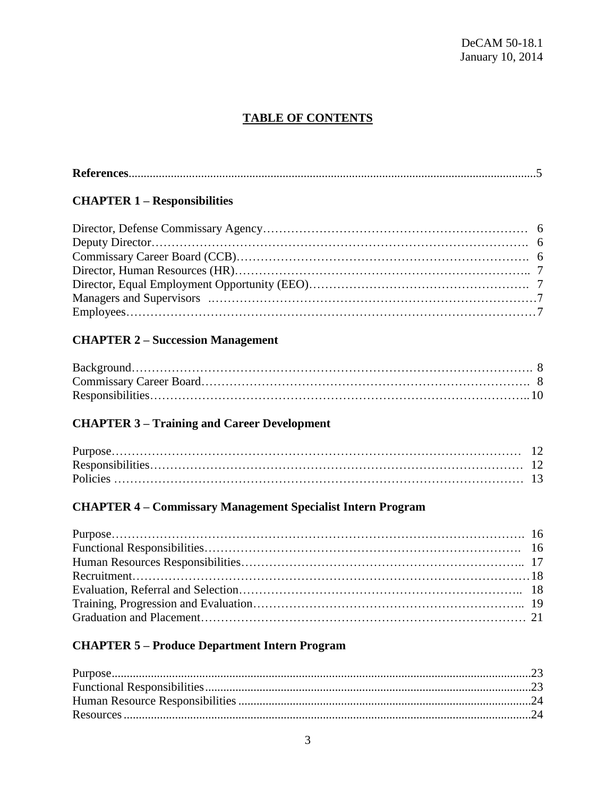# **TABLE OF CONTENTS**

|--|

# **CHAPTER 1 – Responsibilities**

# **CHAPTER 2 – Succession Management**

# **CHAPTER 3 – Training and Career Development**

# **CHAPTER 4 – Commissary Management Specialist Intern Program**

# **CHAPTER 5 – Produce Department Intern Program**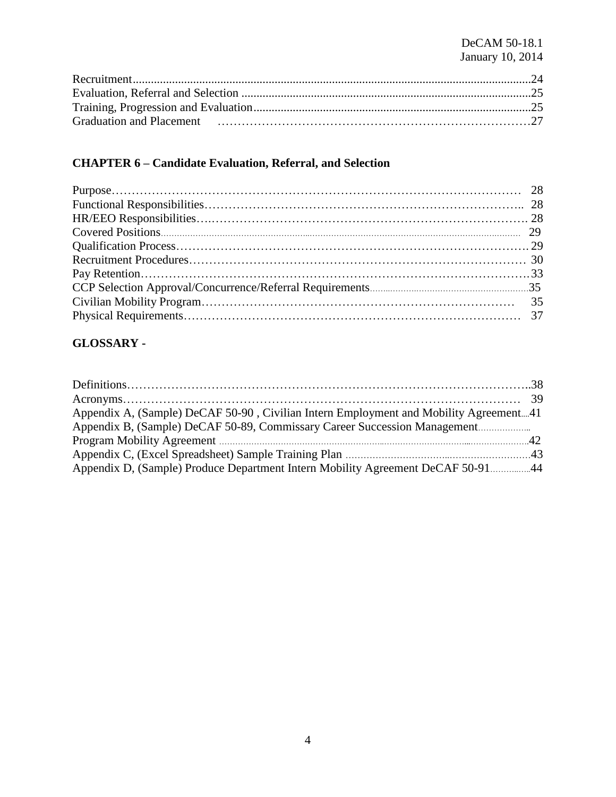# DeCAM 50-18.1 January 10, 2014

# **CHAPTER 6 – Candidate Evaluation, Referral, and Selection**

# **GLOSSARY -**

| Appendix A, (Sample) DeCAF 50-90, Civilian Intern Employment and Mobility Agreement41 |  |
|---------------------------------------------------------------------------------------|--|
| Appendix B, (Sample) DeCAF 50-89, Commissary Career Succession Management             |  |
|                                                                                       |  |
|                                                                                       |  |
| Appendix D, (Sample) Produce Department Intern Mobility Agreement DeCAF 50-9144       |  |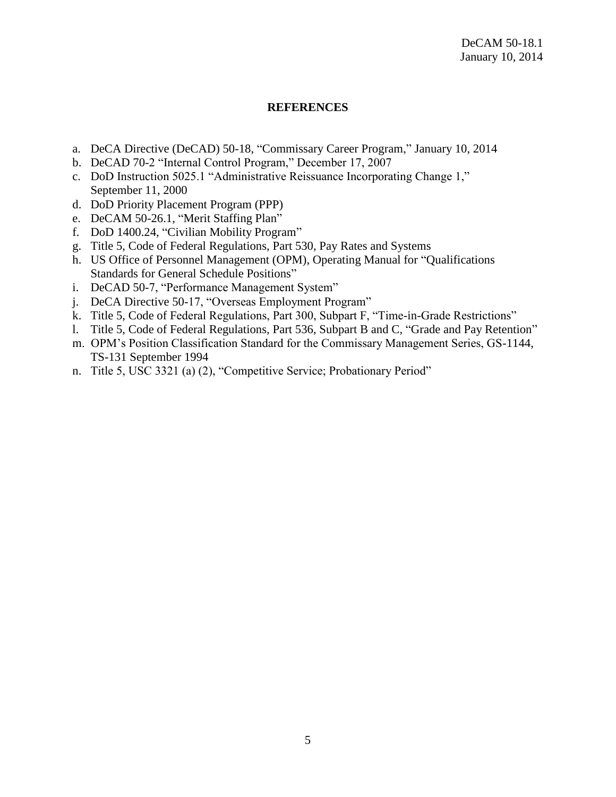### **REFERENCES**

- a. DeCA Directive (DeCAD) 50-18, "Commissary Career Program," January 10, 2014
- b. DeCAD 70-2 "Internal Control Program," December 17, 2007
- c. DoD Instruction 5025.1 "Administrative Reissuance Incorporating Change 1," September 11, 2000
- d. DoD Priority Placement Program (PPP)
- e. DeCAM 50-26.1, "Merit Staffing Plan"
- f. DoD 1400.24, "Civilian Mobility Program"
- g. Title 5, Code of Federal Regulations, Part 530, Pay Rates and Systems
- h. US Office of Personnel Management (OPM), Operating Manual for "Qualifications Standards for General Schedule Positions"
- i. DeCAD 50-7, "Performance Management System"
- j. DeCA Directive 50-17, "Overseas Employment Program"
- k. Title 5, Code of Federal Regulations, Part 300, Subpart F, "Time-in-Grade Restrictions"
- l. Title 5, Code of Federal Regulations, Part 536, Subpart B and C, "Grade and Pay Retention"
- m. OPM's Position Classification Standard for the Commissary Management Series, GS-1144, TS-131 September 1994
- n. Title 5, USC 3321 (a) (2), "Competitive Service; Probationary Period"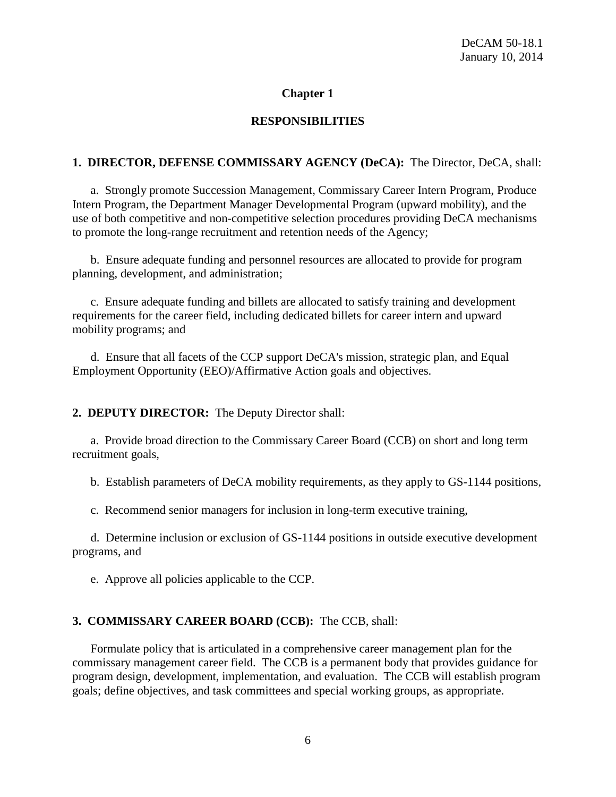# **Chapter 1**

# **RESPONSIBILITIES**

# **1. DIRECTOR, DEFENSE COMMISSARY AGENCY (DeCA):** The Director, DeCA, shall:

a. Strongly promote Succession Management, Commissary Career Intern Program, Produce Intern Program, the Department Manager Developmental Program (upward mobility), and the use of both competitive and non-competitive selection procedures providing DeCA mechanisms to promote the long-range recruitment and retention needs of the Agency;

b. Ensure adequate funding and personnel resources are allocated to provide for program planning, development, and administration;

c. Ensure adequate funding and billets are allocated to satisfy training and development requirements for the career field, including dedicated billets for career intern and upward mobility programs; and

d. Ensure that all facets of the CCP support DeCA's mission, strategic plan, and Equal Employment Opportunity (EEO)/Affirmative Action goals and objectives.

# **2. DEPUTY DIRECTOR:** The Deputy Director shall:

a. Provide broad direction to the Commissary Career Board (CCB) on short and long term recruitment goals,

b. Establish parameters of DeCA mobility requirements, as they apply to GS-1144 positions,

c. Recommend senior managers for inclusion in long-term executive training,

d. Determine inclusion or exclusion of GS-1144 positions in outside executive development programs, and

e. Approve all policies applicable to the CCP.

# **3. COMMISSARY CAREER BOARD (CCB):** The CCB, shall:

Formulate policy that is articulated in a comprehensive career management plan for the commissary management career field. The CCB is a permanent body that provides guidance for program design, development, implementation, and evaluation. The CCB will establish program goals; define objectives, and task committees and special working groups, as appropriate.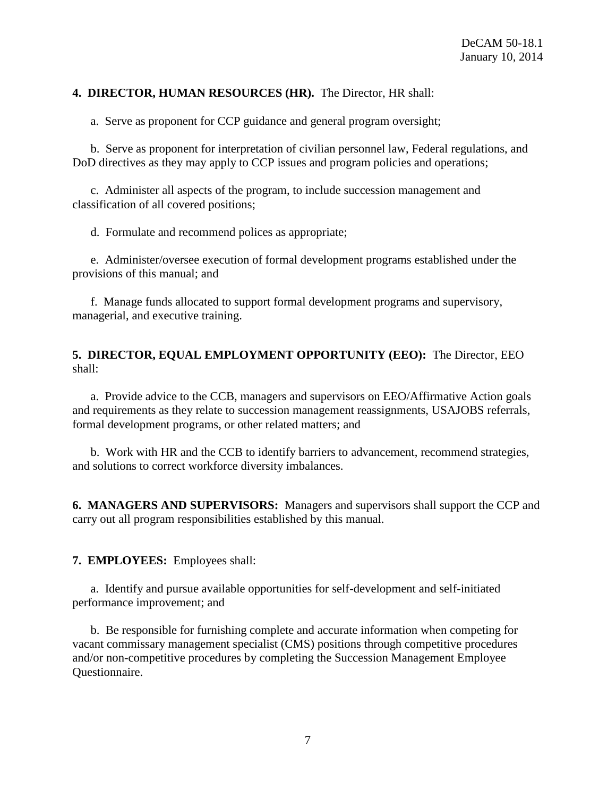### **4. DIRECTOR, HUMAN RESOURCES (HR).** The Director, HR shall:

a. Serve as proponent for CCP guidance and general program oversight;

b. Serve as proponent for interpretation of civilian personnel law, Federal regulations, and DoD directives as they may apply to CCP issues and program policies and operations;

c. Administer all aspects of the program, to include succession management and classification of all covered positions;

d. Formulate and recommend polices as appropriate;

e. Administer/oversee execution of formal development programs established under the provisions of this manual; and

f. Manage funds allocated to support formal development programs and supervisory, managerial, and executive training.

### **5. DIRECTOR, EQUAL EMPLOYMENT OPPORTUNITY (EEO):** The Director, EEO shall:

a. Provide advice to the CCB, managers and supervisors on EEO/Affirmative Action goals and requirements as they relate to succession management reassignments, USAJOBS referrals, formal development programs, or other related matters; and

b. Work with HR and the CCB to identify barriers to advancement, recommend strategies, and solutions to correct workforce diversity imbalances.

**6. MANAGERS AND SUPERVISORS:** Managers and supervisors shall support the CCP and carry out all program responsibilities established by this manual.

**7. EMPLOYEES:** Employees shall:

a. Identify and pursue available opportunities for self-development and self-initiated performance improvement; and

b. Be responsible for furnishing complete and accurate information when competing for vacant commissary management specialist (CMS) positions through competitive procedures and/or non-competitive procedures by completing the Succession Management Employee Questionnaire.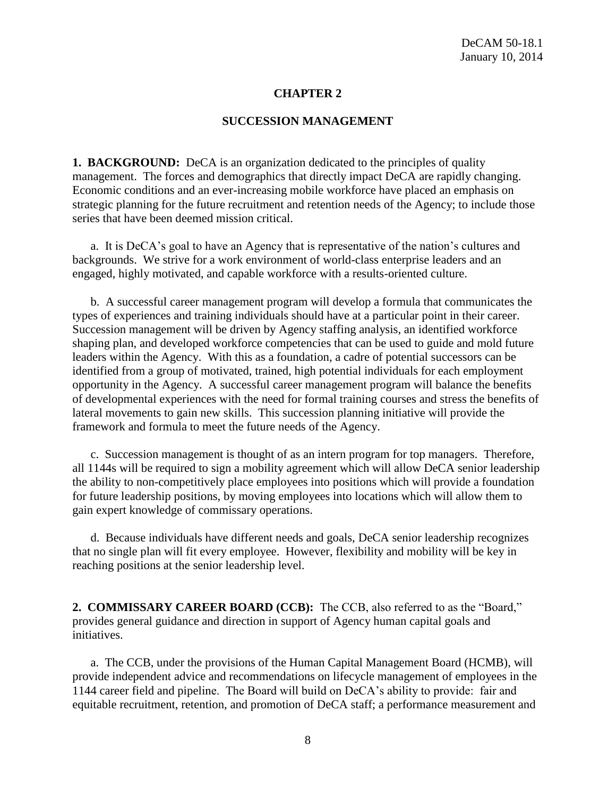### **CHAPTER 2**

#### **SUCCESSION MANAGEMENT**

**1. BACKGROUND:** DeCA is an organization dedicated to the principles of quality management. The forces and demographics that directly impact DeCA are rapidly changing. Economic conditions and an ever-increasing mobile workforce have placed an emphasis on strategic planning for the future recruitment and retention needs of the Agency; to include those series that have been deemed mission critical.

a. It is DeCA's goal to have an Agency that is representative of the nation's cultures and backgrounds. We strive for a work environment of world-class enterprise leaders and an engaged, highly motivated, and capable workforce with a results-oriented culture.

b. A successful career management program will develop a formula that communicates the types of experiences and training individuals should have at a particular point in their career. Succession management will be driven by Agency staffing analysis, an identified workforce shaping plan, and developed workforce competencies that can be used to guide and mold future leaders within the Agency. With this as a foundation, a cadre of potential successors can be identified from a group of motivated, trained, high potential individuals for each employment opportunity in the Agency. A successful career management program will balance the benefits of developmental experiences with the need for formal training courses and stress the benefits of lateral movements to gain new skills. This succession planning initiative will provide the framework and formula to meet the future needs of the Agency.

c. Succession management is thought of as an intern program for top managers. Therefore, all 1144s will be required to sign a mobility agreement which will allow DeCA senior leadership the ability to non-competitively place employees into positions which will provide a foundation for future leadership positions, by moving employees into locations which will allow them to gain expert knowledge of commissary operations.

d. Because individuals have different needs and goals, DeCA senior leadership recognizes that no single plan will fit every employee. However, flexibility and mobility will be key in reaching positions at the senior leadership level.

**2. COMMISSARY CAREER BOARD (CCB):** The CCB, also referred to as the "Board," provides general guidance and direction in support of Agency human capital goals and initiatives.

a. The CCB, under the provisions of the Human Capital Management Board (HCMB), will provide independent advice and recommendations on lifecycle management of employees in the 1144 career field and pipeline. The Board will build on DeCA's ability to provide: fair and equitable recruitment, retention, and promotion of DeCA staff; a performance measurement and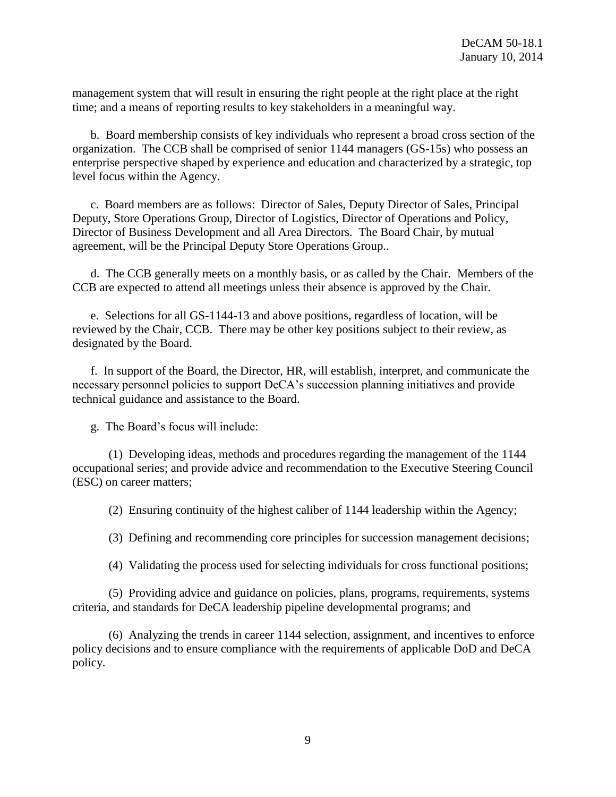management system that will result in ensuring the right people at the right place at the right time; and a means of reporting results to key stakeholders in a meaningful way.

b. Board membership consists of key individuals who represent a broad cross section of the organization. The CCB shall be comprised of senior 1144 managers (GS-15s) who possess an enterprise perspective shaped by experience and education and characterized by a strategic, top level focus within the Agency.

c. Board members are as follows: Director of Sales, Deputy Director of Sales, Principal Deputy, Store Operations Group, Director of Logistics, Director of Operations and Policy, Director of Business Development and all Area Directors. The Board Chair, by mutual agreement, will be the Principal Deputy Store Operations Group..

d. The CCB generally meets on a monthly basis, or as called by the Chair. Members of the CCB are expected to attend all meetings unless their absence is approved by the Chair.

e. Selections for all GS-1144-13 and above positions, regardless of location, will be reviewed by the Chair, CCB. There may be other key positions subject to their review, as designated by the Board.

f. In support of the Board, the Director, HR, will establish, interpret, and communicate the necessary personnel policies to support DeCA's succession planning initiatives and provide technical guidance and assistance to the Board.

g. The Board's focus will include:

(1) Developing ideas, methods and procedures regarding the management of the 1144 occupational series; and provide advice and recommendation to the Executive Steering Council (ESC) on career matters;

(2) Ensuring continuity of the highest caliber of 1144 leadership within the Agency;

(3) Defining and recommending core principles for succession management decisions;

(4) Validating the process used for selecting individuals for cross functional positions;

(5) Providing advice and guidance on policies, plans, programs, requirements, systems criteria, and standards for DeCA leadership pipeline developmental programs; and

(6) Analyzing the trends in career 1144 selection, assignment, and incentives to enforce policy decisions and to ensure compliance with the requirements of applicable DoD and DeCA policy.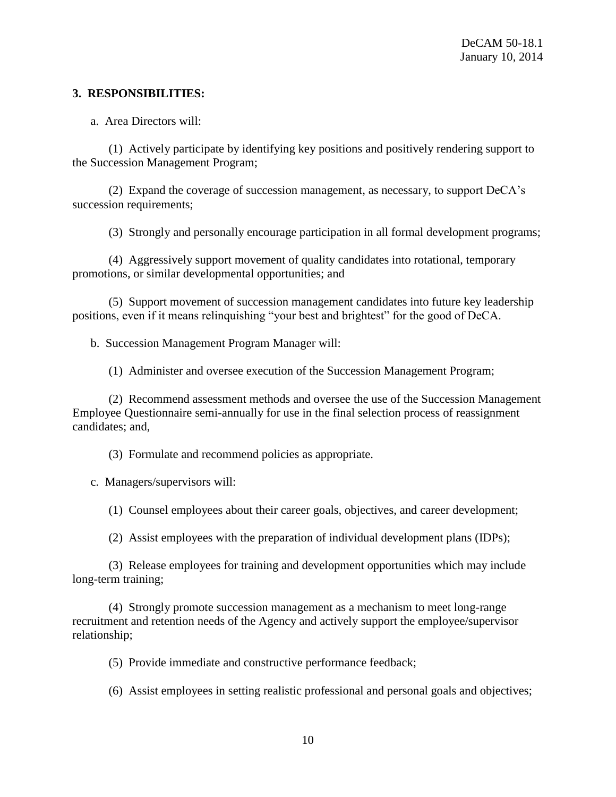### **3. RESPONSIBILITIES:**

a. Area Directors will:

(1) Actively participate by identifying key positions and positively rendering support to the Succession Management Program;

(2) Expand the coverage of succession management, as necessary, to support DeCA's succession requirements;

(3) Strongly and personally encourage participation in all formal development programs;

(4) Aggressively support movement of quality candidates into rotational, temporary promotions, or similar developmental opportunities; and

(5) Support movement of succession management candidates into future key leadership positions, even if it means relinquishing "your best and brightest" for the good of DeCA.

b. Succession Management Program Manager will:

(1) Administer and oversee execution of the Succession Management Program;

(2) Recommend assessment methods and oversee the use of the Succession Management Employee Questionnaire semi-annually for use in the final selection process of reassignment candidates; and,

(3) Formulate and recommend policies as appropriate.

c. Managers/supervisors will:

(1) Counsel employees about their career goals, objectives, and career development;

(2) Assist employees with the preparation of individual development plans (IDPs);

(3) Release employees for training and development opportunities which may include long-term training;

(4) Strongly promote succession management as a mechanism to meet long-range recruitment and retention needs of the Agency and actively support the employee/supervisor relationship;

(5) Provide immediate and constructive performance feedback;

(6) Assist employees in setting realistic professional and personal goals and objectives;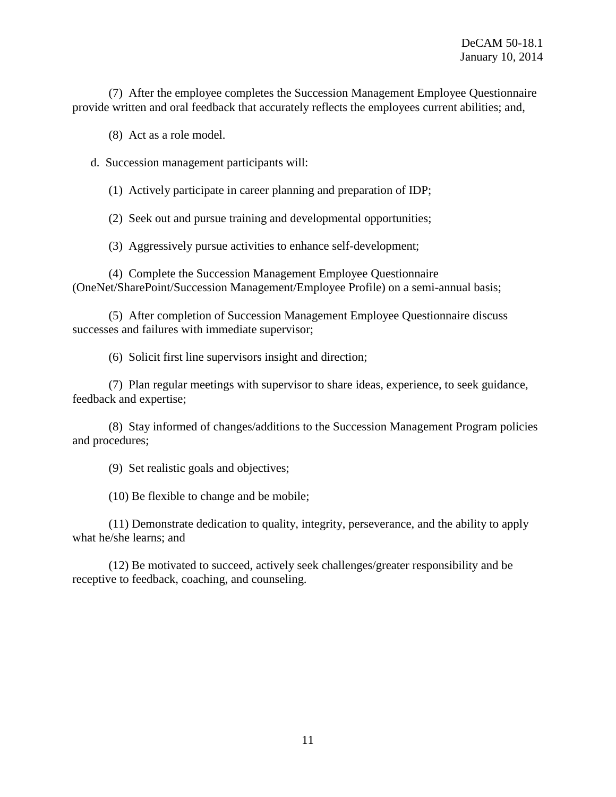(7) After the employee completes the Succession Management Employee Questionnaire provide written and oral feedback that accurately reflects the employees current abilities; and,

(8) Act as a role model.

d. Succession management participants will:

(1) Actively participate in career planning and preparation of IDP;

(2) Seek out and pursue training and developmental opportunities;

(3) Aggressively pursue activities to enhance self-development;

(4) Complete the Succession Management Employee Questionnaire (OneNet/SharePoint/Succession Management/Employee Profile) on a semi-annual basis;

(5) After completion of Succession Management Employee Questionnaire discuss successes and failures with immediate supervisor;

(6) Solicit first line supervisors insight and direction;

(7) Plan regular meetings with supervisor to share ideas, experience, to seek guidance, feedback and expertise;

(8) Stay informed of changes/additions to the Succession Management Program policies and procedures;

(9) Set realistic goals and objectives;

(10) Be flexible to change and be mobile;

(11) Demonstrate dedication to quality, integrity, perseverance, and the ability to apply what he/she learns; and

(12) Be motivated to succeed, actively seek challenges/greater responsibility and be receptive to feedback, coaching, and counseling.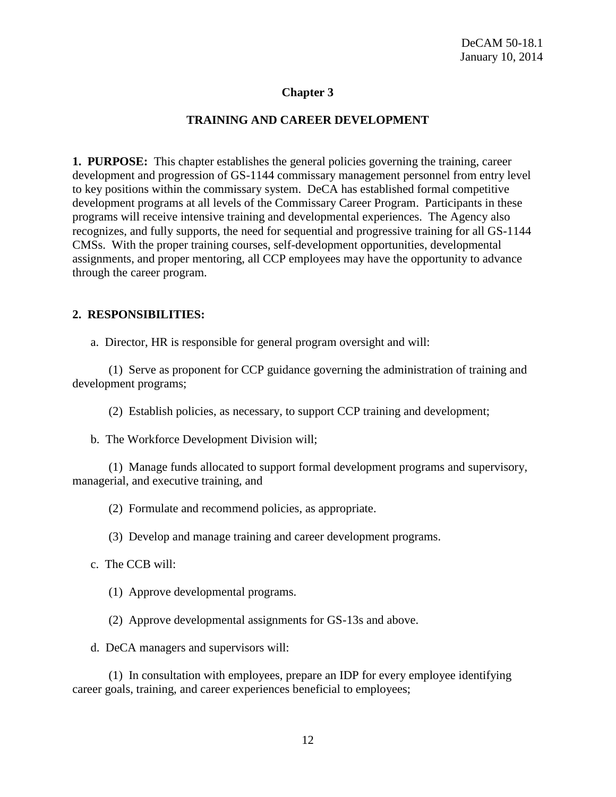# **Chapter 3**

### **TRAINING AND CAREER DEVELOPMENT**

**1. PURPOSE:** This chapter establishes the general policies governing the training, career development and progression of GS-1144 commissary management personnel from entry level to key positions within the commissary system. DeCA has established formal competitive development programs at all levels of the Commissary Career Program. Participants in these programs will receive intensive training and developmental experiences. The Agency also recognizes, and fully supports, the need for sequential and progressive training for all GS-1144 CMSs. With the proper training courses, self-development opportunities, developmental assignments, and proper mentoring, all CCP employees may have the opportunity to advance through the career program.

#### **2. RESPONSIBILITIES:**

a. Director, HR is responsible for general program oversight and will:

(1) Serve as proponent for CCP guidance governing the administration of training and development programs;

(2) Establish policies, as necessary, to support CCP training and development;

b. The Workforce Development Division will;

(1) Manage funds allocated to support formal development programs and supervisory, managerial, and executive training, and

(2) Formulate and recommend policies, as appropriate.

(3) Develop and manage training and career development programs.

c. The CCB will:

(1) Approve developmental programs.

(2) Approve developmental assignments for GS-13s and above.

d. DeCA managers and supervisors will:

(1) In consultation with employees, prepare an IDP for every employee identifying career goals, training, and career experiences beneficial to employees;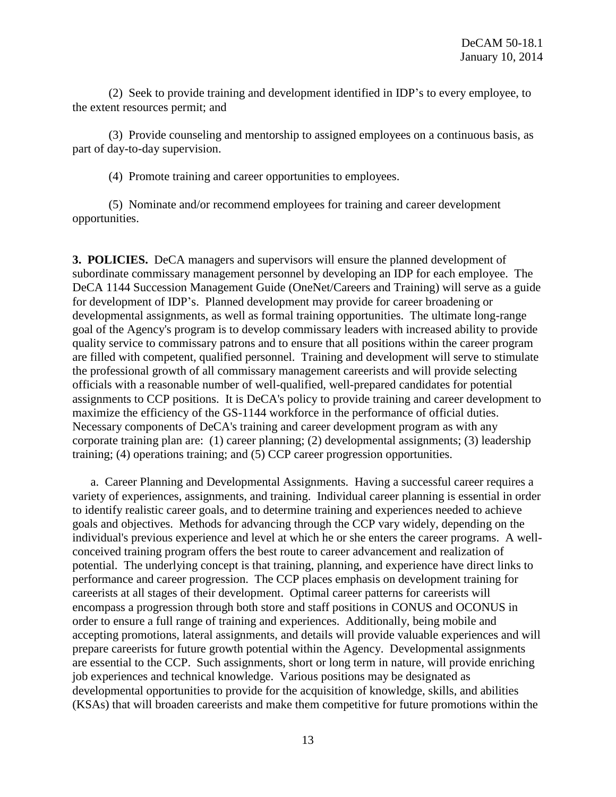(2) Seek to provide training and development identified in IDP's to every employee, to the extent resources permit; and

(3) Provide counseling and mentorship to assigned employees on a continuous basis, as part of day-to-day supervision.

(4) Promote training and career opportunities to employees.

(5) Nominate and/or recommend employees for training and career development opportunities.

**3. POLICIES.** DeCA managers and supervisors will ensure the planned development of subordinate commissary management personnel by developing an IDP for each employee. The DeCA 1144 Succession Management Guide (OneNet/Careers and Training) will serve as a guide for development of IDP's. Planned development may provide for career broadening or developmental assignments, as well as formal training opportunities. The ultimate long-range goal of the Agency's program is to develop commissary leaders with increased ability to provide quality service to commissary patrons and to ensure that all positions within the career program are filled with competent, qualified personnel. Training and development will serve to stimulate the professional growth of all commissary management careerists and will provide selecting officials with a reasonable number of well-qualified, well-prepared candidates for potential assignments to CCP positions. It is DeCA's policy to provide training and career development to maximize the efficiency of the GS-1144 workforce in the performance of official duties. Necessary components of DeCA's training and career development program as with any corporate training plan are: (1) career planning; (2) developmental assignments; (3) leadership training; (4) operations training; and (5) CCP career progression opportunities.

a. Career Planning and Developmental Assignments. Having a successful career requires a variety of experiences, assignments, and training. Individual career planning is essential in order to identify realistic career goals, and to determine training and experiences needed to achieve goals and objectives. Methods for advancing through the CCP vary widely, depending on the individual's previous experience and level at which he or she enters the career programs. A wellconceived training program offers the best route to career advancement and realization of potential. The underlying concept is that training, planning, and experience have direct links to performance and career progression. The CCP places emphasis on development training for careerists at all stages of their development. Optimal career patterns for careerists will encompass a progression through both store and staff positions in CONUS and OCONUS in order to ensure a full range of training and experiences. Additionally, being mobile and accepting promotions, lateral assignments, and details will provide valuable experiences and will prepare careerists for future growth potential within the Agency. Developmental assignments are essential to the CCP. Such assignments, short or long term in nature, will provide enriching job experiences and technical knowledge. Various positions may be designated as developmental opportunities to provide for the acquisition of knowledge, skills, and abilities (KSAs) that will broaden careerists and make them competitive for future promotions within the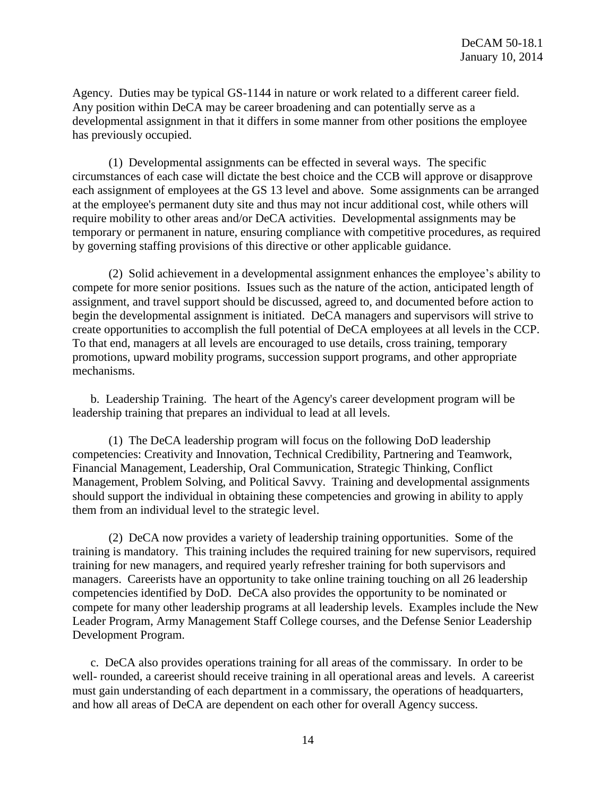Agency. Duties may be typical GS-1144 in nature or work related to a different career field. Any position within DeCA may be career broadening and can potentially serve as a developmental assignment in that it differs in some manner from other positions the employee has previously occupied.

(1) Developmental assignments can be effected in several ways. The specific circumstances of each case will dictate the best choice and the CCB will approve or disapprove each assignment of employees at the GS 13 level and above. Some assignments can be arranged at the employee's permanent duty site and thus may not incur additional cost, while others will require mobility to other areas and/or DeCA activities. Developmental assignments may be temporary or permanent in nature, ensuring compliance with competitive procedures, as required by governing staffing provisions of this directive or other applicable guidance.

(2) Solid achievement in a developmental assignment enhances the employee's ability to compete for more senior positions. Issues such as the nature of the action, anticipated length of assignment, and travel support should be discussed, agreed to, and documented before action to begin the developmental assignment is initiated. DeCA managers and supervisors will strive to create opportunities to accomplish the full potential of DeCA employees at all levels in the CCP. To that end, managers at all levels are encouraged to use details, cross training, temporary promotions, upward mobility programs, succession support programs, and other appropriate mechanisms.

b. Leadership Training. The heart of the Agency's career development program will be leadership training that prepares an individual to lead at all levels.

(1) The DeCA leadership program will focus on the following DoD leadership competencies: Creativity and Innovation, Technical Credibility, Partnering and Teamwork, Financial Management, Leadership, Oral Communication, Strategic Thinking, Conflict Management, Problem Solving, and Political Savvy. Training and developmental assignments should support the individual in obtaining these competencies and growing in ability to apply them from an individual level to the strategic level.

(2) DeCA now provides a variety of leadership training opportunities. Some of the training is mandatory. This training includes the required training for new supervisors, required training for new managers, and required yearly refresher training for both supervisors and managers. Careerists have an opportunity to take online training touching on all 26 leadership competencies identified by DoD. DeCA also provides the opportunity to be nominated or compete for many other leadership programs at all leadership levels. Examples include the New Leader Program, Army Management Staff College courses, and the Defense Senior Leadership Development Program.

c. DeCA also provides operations training for all areas of the commissary. In order to be well- rounded, a careerist should receive training in all operational areas and levels. A careerist must gain understanding of each department in a commissary, the operations of headquarters, and how all areas of DeCA are dependent on each other for overall Agency success.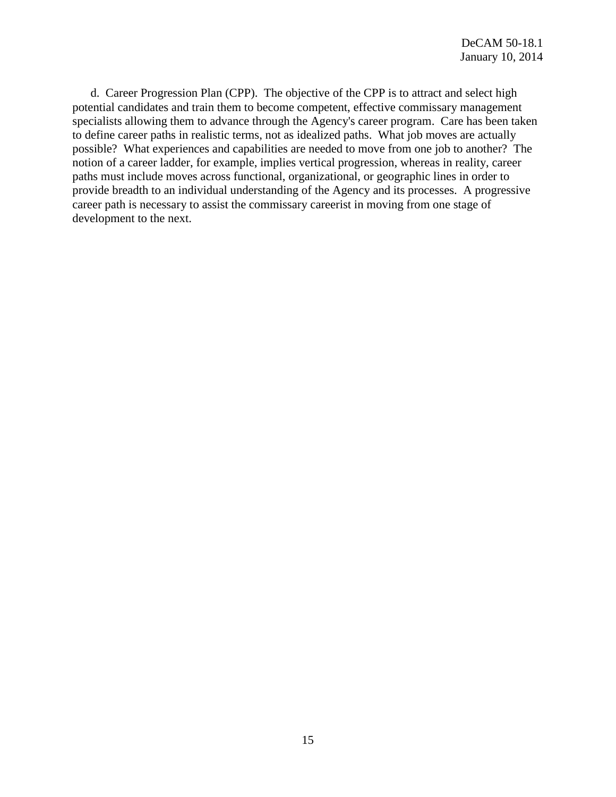d. Career Progression Plan (CPP). The objective of the CPP is to attract and select high potential candidates and train them to become competent, effective commissary management specialists allowing them to advance through the Agency's career program. Care has been taken to define career paths in realistic terms, not as idealized paths. What job moves are actually possible? What experiences and capabilities are needed to move from one job to another? The notion of a career ladder, for example, implies vertical progression, whereas in reality, career paths must include moves across functional, organizational, or geographic lines in order to provide breadth to an individual understanding of the Agency and its processes. A progressive career path is necessary to assist the commissary careerist in moving from one stage of development to the next.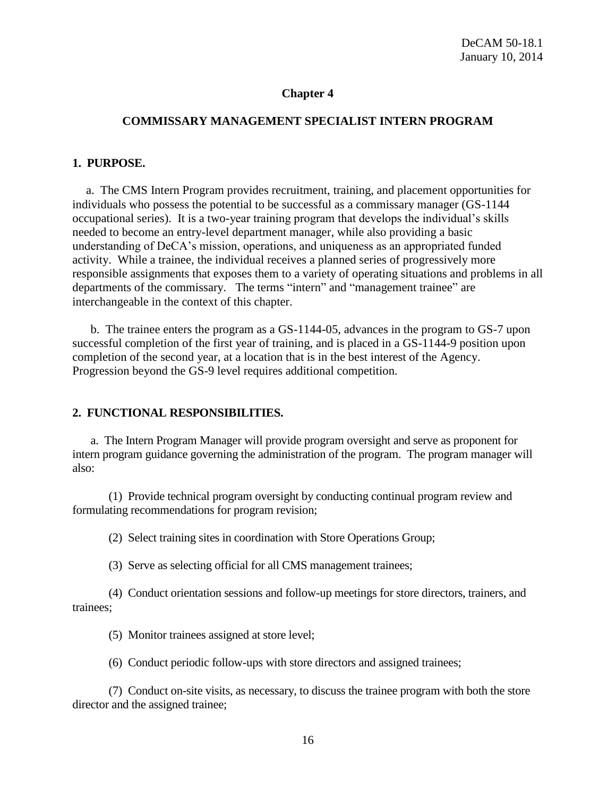# **Chapter 4**

#### **COMMISSARY MANAGEMENT SPECIALIST INTERN PROGRAM**

#### **1. PURPOSE.**

a. The CMS Intern Program provides recruitment, training, and placement opportunities for individuals who possess the potential to be successful as a commissary manager (GS-1144 occupational series). It is a two-year training program that develops the individual's skills needed to become an entry-level department manager, while also providing a basic understanding of DeCA's mission, operations, and uniqueness as an appropriated funded activity. While a trainee, the individual receives a planned series of progressively more responsible assignments that exposes them to a variety of operating situations and problems in all departments of the commissary. The terms "intern" and "management trainee" are interchangeable in the context of this chapter.

b. The trainee enters the program as a GS-1144-05, advances in the program to GS-7 upon successful completion of the first year of training, and is placed in a GS-1144-9 position upon completion of the second year, at a location that is in the best interest of the Agency. Progression beyond the GS-9 level requires additional competition.

#### **2. FUNCTIONAL RESPONSIBILITIES.**

a. The Intern Program Manager will provide program oversight and serve as proponent for intern program guidance governing the administration of the program. The program manager will also:

(1) Provide technical program oversight by conducting continual program review and formulating recommendations for program revision;

(2) Select training sites in coordination with Store Operations Group;

(3) Serve as selecting official for all CMS management trainees;

(4) Conduct orientation sessions and follow-up meetings for store directors, trainers, and trainees;

- (5) Monitor trainees assigned at store level;
- (6) Conduct periodic follow-ups with store directors and assigned trainees;

(7) Conduct on-site visits, as necessary, to discuss the trainee program with both the store director and the assigned trainee;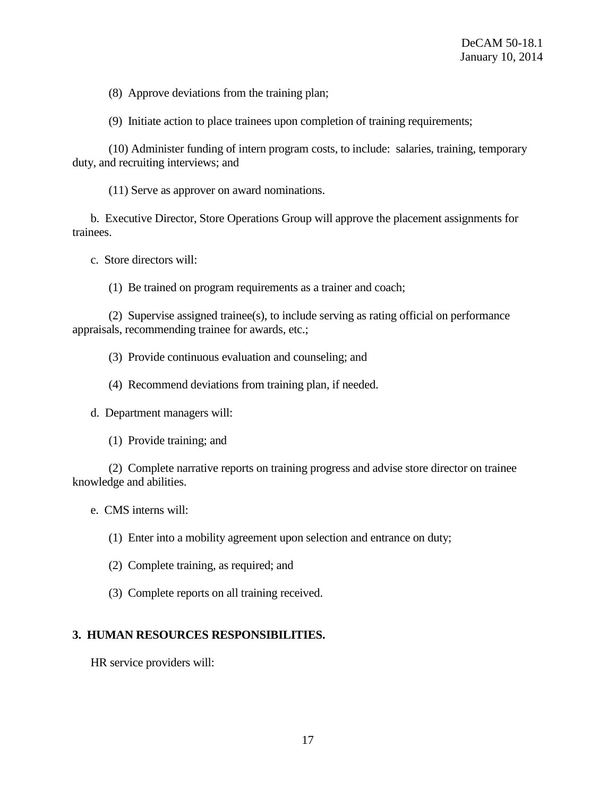(8) Approve deviations from the training plan;

(9) Initiate action to place trainees upon completion of training requirements;

(10) Administer funding of intern program costs, to include: salaries, training, temporary duty, and recruiting interviews; and

(11) Serve as approver on award nominations.

b. Executive Director, Store Operations Group will approve the placement assignments for trainees.

c. Store directors will:

(1) Be trained on program requirements as a trainer and coach;

(2) Supervise assigned trainee(s), to include serving as rating official on performance appraisals, recommending trainee for awards, etc.;

(3) Provide continuous evaluation and counseling; and

(4) Recommend deviations from training plan, if needed.

d. Department managers will:

(1) Provide training; and

(2) Complete narrative reports on training progress and advise store director on trainee knowledge and abilities.

e. CMS interns will:

(1) Enter into a mobility agreement upon selection and entrance on duty;

(2) Complete training, as required; and

(3) Complete reports on all training received.

# **3. HUMAN RESOURCES RESPONSIBILITIES.**

HR service providers will: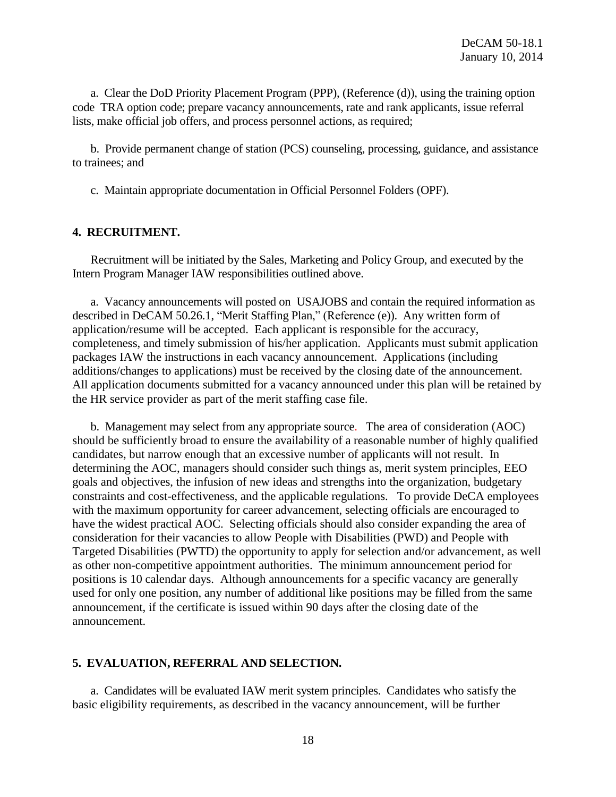a. Clear the DoD Priority Placement Program (PPP), (Reference (d)), using the training option code TRA option code; prepare vacancy announcements, rate and rank applicants, issue referral lists, make official job offers, and process personnel actions, as required;

b. Provide permanent change of station (PCS) counseling, processing, guidance, and assistance to trainees; and

c. Maintain appropriate documentation in Official Personnel Folders (OPF).

#### **4. RECRUITMENT.**

Recruitment will be initiated by the Sales, Marketing and Policy Group, and executed by the Intern Program Manager IAW responsibilities outlined above.

a. Vacancy announcements will posted on USAJOBS and contain the required information as described in DeCAM 50.26.1, "Merit Staffing Plan," (Reference (e)). Any written form of application/resume will be accepted. Each applicant is responsible for the accuracy, completeness, and timely submission of his/her application. Applicants must submit application packages IAW the instructions in each vacancy announcement. Applications (including additions/changes to applications) must be received by the closing date of the announcement. All application documents submitted for a vacancy announced under this plan will be retained by the HR service provider as part of the merit staffing case file.

b. Management may select from any appropriate source. The area of consideration (AOC) should be sufficiently broad to ensure the availability of a reasonable number of highly qualified candidates, but narrow enough that an excessive number of applicants will not result. In determining the AOC, managers should consider such things as, merit system principles, EEO goals and objectives, the infusion of new ideas and strengths into the organization, budgetary constraints and cost-effectiveness, and the applicable regulations. To provide DeCA employees with the maximum opportunity for career advancement, selecting officials are encouraged to have the widest practical AOC. Selecting officials should also consider expanding the area of consideration for their vacancies to allow People with Disabilities (PWD) and People with Targeted Disabilities (PWTD) the opportunity to apply for selection and/or advancement, as well as other non-competitive appointment authorities. The minimum announcement period for positions is 10 calendar days. Although announcements for a specific vacancy are generally used for only one position, any number of additional like positions may be filled from the same announcement, if the certificate is issued within 90 days after the closing date of the announcement.

#### **5. EVALUATION, REFERRAL AND SELECTION.**

a. Candidates will be evaluated IAW merit system principles. Candidates who satisfy the basic eligibility requirements, as described in the vacancy announcement, will be further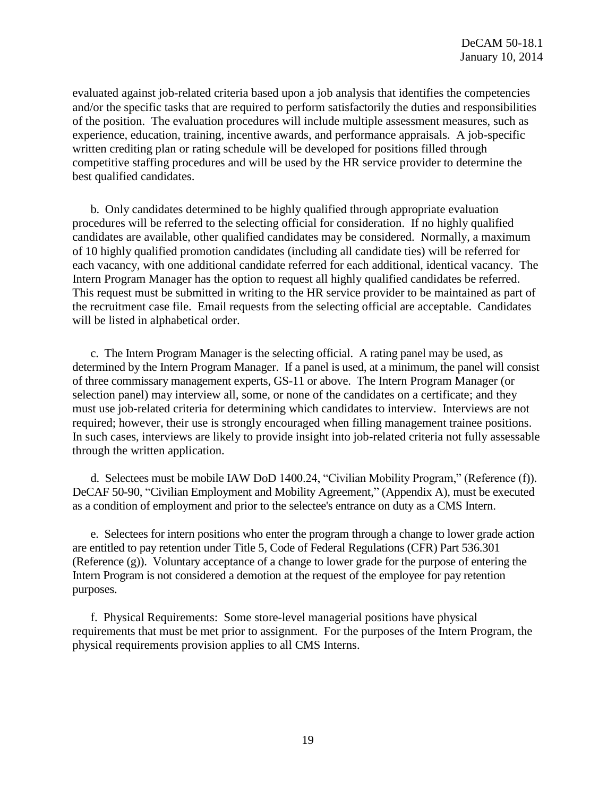evaluated against job-related criteria based upon a job analysis that identifies the competencies and/or the specific tasks that are required to perform satisfactorily the duties and responsibilities of the position. The evaluation procedures will include multiple assessment measures, such as experience, education, training, incentive awards, and performance appraisals. A job-specific written crediting plan or rating schedule will be developed for positions filled through competitive staffing procedures and will be used by the HR service provider to determine the best qualified candidates.

b. Only candidates determined to be highly qualified through appropriate evaluation procedures will be referred to the selecting official for consideration. If no highly qualified candidates are available, other qualified candidates may be considered. Normally, a maximum of 10 highly qualified promotion candidates (including all candidate ties) will be referred for each vacancy, with one additional candidate referred for each additional, identical vacancy. The Intern Program Manager has the option to request all highly qualified candidates be referred. This request must be submitted in writing to the HR service provider to be maintained as part of the recruitment case file. Email requests from the selecting official are acceptable. Candidates will be listed in alphabetical order.

c. The Intern Program Manager is the selecting official. A rating panel may be used, as determined by the Intern Program Manager. If a panel is used, at a minimum, the panel will consist of three commissary management experts, GS-11 or above. The Intern Program Manager (or selection panel) may interview all, some, or none of the candidates on a certificate; and they must use job-related criteria for determining which candidates to interview. Interviews are not required; however, their use is strongly encouraged when filling management trainee positions. In such cases, interviews are likely to provide insight into job-related criteria not fully assessable through the written application.

d. Selectees must be mobile IAW DoD 1400.24, "Civilian Mobility Program," (Reference (f)). DeCAF 50-90, "Civilian Employment and Mobility Agreement," (Appendix A), must be executed as a condition of employment and prior to the selectee's entrance on duty as a CMS Intern.

e. Selectees for intern positions who enter the program through a change to lower grade action are entitled to pay retention under Title 5, Code of Federal Regulations (CFR) Part 536.301 (Reference (g)). Voluntary acceptance of a change to lower grade for the purpose of entering the Intern Program is not considered a demotion at the request of the employee for pay retention purposes.

f. Physical Requirements: Some store-level managerial positions have physical requirements that must be met prior to assignment. For the purposes of the Intern Program, the physical requirements provision applies to all CMS Interns.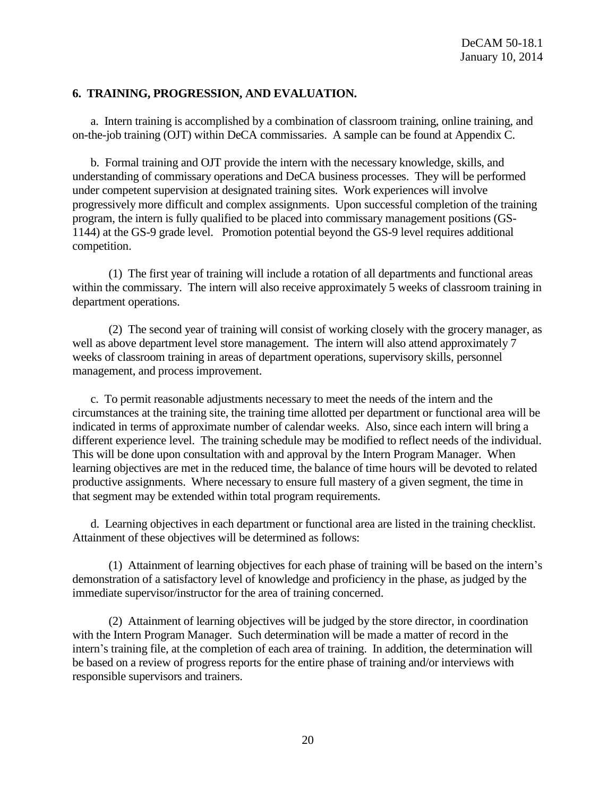### **6. TRAINING, PROGRESSION, AND EVALUATION.**

a. Intern training is accomplished by a combination of classroom training, online training, and on-the-job training (OJT) within DeCA commissaries. A sample can be found at Appendix C.

b. Formal training and OJT provide the intern with the necessary knowledge, skills, and understanding of commissary operations and DeCA business processes. They will be performed under competent supervision at designated training sites. Work experiences will involve progressively more difficult and complex assignments. Upon successful completion of the training program, the intern is fully qualified to be placed into commissary management positions (GS-1144) at the GS-9 grade level. Promotion potential beyond the GS-9 level requires additional competition.

(1) The first year of training will include a rotation of all departments and functional areas within the commissary. The intern will also receive approximately 5 weeks of classroom training in department operations.

(2) The second year of training will consist of working closely with the grocery manager, as well as above department level store management. The intern will also attend approximately 7 weeks of classroom training in areas of department operations, supervisory skills, personnel management, and process improvement.

c. To permit reasonable adjustments necessary to meet the needs of the intern and the circumstances at the training site, the training time allotted per department or functional area will be indicated in terms of approximate number of calendar weeks. Also, since each intern will bring a different experience level. The training schedule may be modified to reflect needs of the individual. This will be done upon consultation with and approval by the Intern Program Manager. When learning objectives are met in the reduced time, the balance of time hours will be devoted to related productive assignments. Where necessary to ensure full mastery of a given segment, the time in that segment may be extended within total program requirements.

d. Learning objectives in each department or functional area are listed in the training checklist. Attainment of these objectives will be determined as follows:

(1) Attainment of learning objectives for each phase of training will be based on the intern's demonstration of a satisfactory level of knowledge and proficiency in the phase, as judged by the immediate supervisor/instructor for the area of training concerned.

(2) Attainment of learning objectives will be judged by the store director, in coordination with the Intern Program Manager. Such determination will be made a matter of record in the intern's training file, at the completion of each area of training. In addition, the determination will be based on a review of progress reports for the entire phase of training and/or interviews with responsible supervisors and trainers.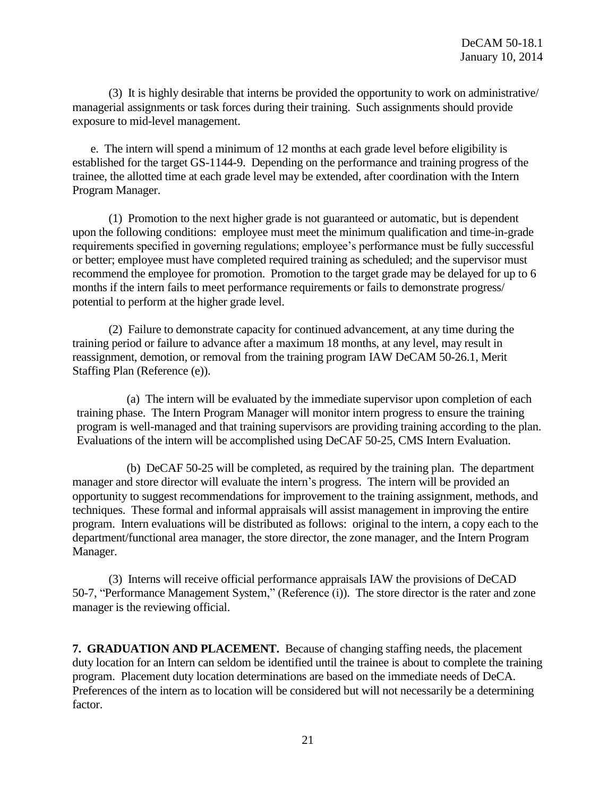(3) It is highly desirable that interns be provided the opportunity to work on administrative/ managerial assignments or task forces during their training. Such assignments should provide exposure to mid-level management.

e. The intern will spend a minimum of 12 months at each grade level before eligibility is established for the target GS-1144-9. Depending on the performance and training progress of the trainee, the allotted time at each grade level may be extended, after coordination with the Intern Program Manager.

(1) Promotion to the next higher grade is not guaranteed or automatic, but is dependent upon the following conditions: employee must meet the minimum qualification and time-in-grade requirements specified in governing regulations; employee's performance must be fully successful or better; employee must have completed required training as scheduled; and the supervisor must recommend the employee for promotion. Promotion to the target grade may be delayed for up to 6 months if the intern fails to meet performance requirements or fails to demonstrate progress/ potential to perform at the higher grade level.

(2) Failure to demonstrate capacity for continued advancement, at any time during the training period or failure to advance after a maximum 18 months, at any level, may result in reassignment, demotion, or removal from the training program IAW DeCAM 50-26.1, Merit Staffing Plan (Reference (e)).

(a) The intern will be evaluated by the immediate supervisor upon completion of each training phase. The Intern Program Manager will monitor intern progress to ensure the training program is well-managed and that training supervisors are providing training according to the plan. Evaluations of the intern will be accomplished using DeCAF 50-25, CMS Intern Evaluation.

(b) DeCAF 50-25 will be completed, as required by the training plan. The department manager and store director will evaluate the intern's progress. The intern will be provided an opportunity to suggest recommendations for improvement to the training assignment, methods, and techniques. These formal and informal appraisals will assist management in improving the entire program. Intern evaluations will be distributed as follows: original to the intern, a copy each to the department/functional area manager, the store director, the zone manager, and the Intern Program Manager.

(3) Interns will receive official performance appraisals IAW the provisions of DeCAD 50-7, "Performance Management System," (Reference (i)). The store director is the rater and zone manager is the reviewing official.

**7. GRADUATION AND PLACEMENT.** Because of changing staffing needs, the placement duty location for an Intern can seldom be identified until the trainee is about to complete the training program. Placement duty location determinations are based on the immediate needs of DeCA. Preferences of the intern as to location will be considered but will not necessarily be a determining factor.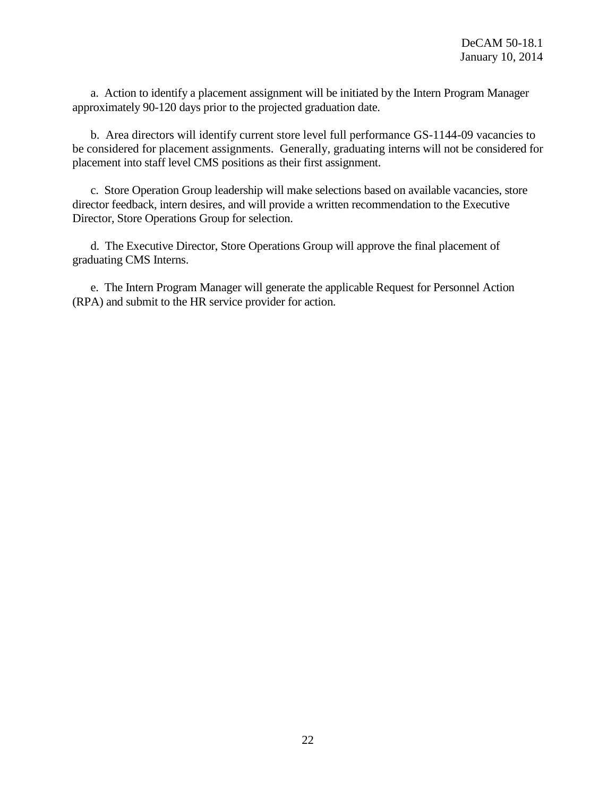a. Action to identify a placement assignment will be initiated by the Intern Program Manager approximately 90-120 days prior to the projected graduation date.

b. Area directors will identify current store level full performance GS-1144-09 vacancies to be considered for placement assignments. Generally, graduating interns will not be considered for placement into staff level CMS positions as their first assignment.

c. Store Operation Group leadership will make selections based on available vacancies, store director feedback, intern desires, and will provide a written recommendation to the Executive Director, Store Operations Group for selection.

d. The Executive Director, Store Operations Group will approve the final placement of graduating CMS Interns.

e. The Intern Program Manager will generate the applicable Request for Personnel Action (RPA) and submit to the HR service provider for action.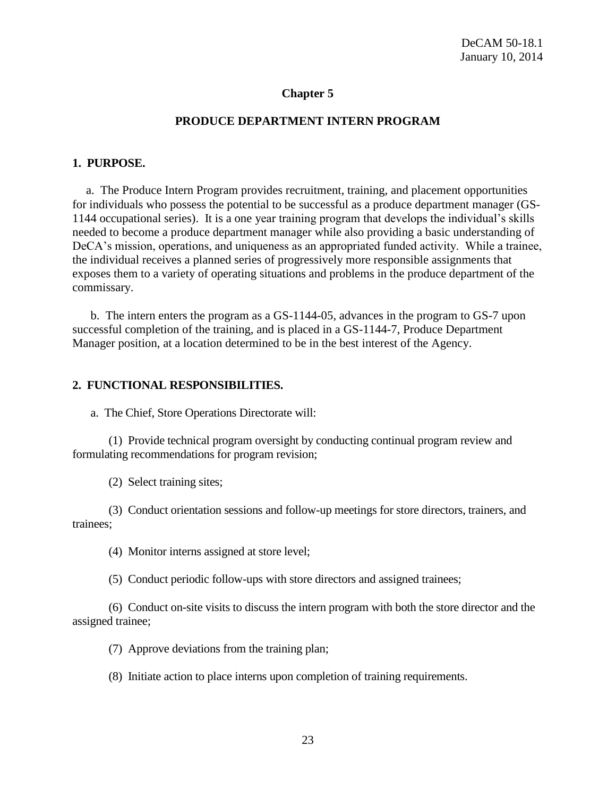### **Chapter 5**

#### **PRODUCE DEPARTMENT INTERN PROGRAM**

#### **1. PURPOSE.**

a. The Produce Intern Program provides recruitment, training, and placement opportunities for individuals who possess the potential to be successful as a produce department manager (GS-1144 occupational series). It is a one year training program that develops the individual's skills needed to become a produce department manager while also providing a basic understanding of DeCA's mission, operations, and uniqueness as an appropriated funded activity. While a trainee, the individual receives a planned series of progressively more responsible assignments that exposes them to a variety of operating situations and problems in the produce department of the commissary.

b. The intern enters the program as a GS-1144-05, advances in the program to GS-7 upon successful completion of the training, and is placed in a GS-1144-7, Produce Department Manager position, at a location determined to be in the best interest of the Agency.

#### **2. FUNCTIONAL RESPONSIBILITIES.**

a. The Chief, Store Operations Directorate will:

(1) Provide technical program oversight by conducting continual program review and formulating recommendations for program revision;

(2) Select training sites;

(3) Conduct orientation sessions and follow-up meetings for store directors, trainers, and trainees;

(4) Monitor interns assigned at store level;

(5) Conduct periodic follow-ups with store directors and assigned trainees;

(6) Conduct on-site visits to discuss the intern program with both the store director and the assigned trainee;

(7) Approve deviations from the training plan;

(8) Initiate action to place interns upon completion of training requirements.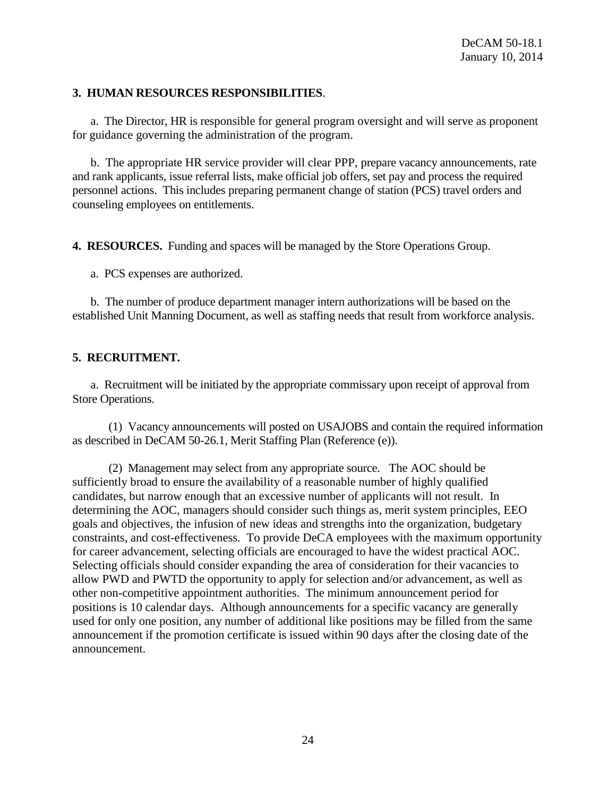### **3. HUMAN RESOURCES RESPONSIBILITIES**.

a. The Director, HR is responsible for general program oversight and will serve as proponent for guidance governing the administration of the program.

b. The appropriate HR service provider will clear PPP, prepare vacancy announcements, rate and rank applicants, issue referral lists, make official job offers, set pay and process the required personnel actions. This includes preparing permanent change of station (PCS) travel orders and counseling employees on entitlements.

**4. RESOURCES.** Funding and spaces will be managed by the Store Operations Group.

a. PCS expenses are authorized.

b. The number of produce department manager intern authorizations will be based on the established Unit Manning Document, as well as staffing needs that result from workforce analysis.

# **5. RECRUITMENT.**

a. Recruitment will be initiated by the appropriate commissary upon receipt of approval from Store Operations.

(1) Vacancy announcements will posted on USAJOBS and contain the required information as described in DeCAM 50-26.1, Merit Staffing Plan (Reference (e)).

(2) Management may select from any appropriate source. The AOC should be sufficiently broad to ensure the availability of a reasonable number of highly qualified candidates, but narrow enough that an excessive number of applicants will not result. In determining the AOC, managers should consider such things as, merit system principles, EEO goals and objectives, the infusion of new ideas and strengths into the organization, budgetary constraints, and cost-effectiveness. To provide DeCA employees with the maximum opportunity for career advancement, selecting officials are encouraged to have the widest practical AOC. Selecting officials should consider expanding the area of consideration for their vacancies to allow PWD and PWTD the opportunity to apply for selection and/or advancement, as well as other non-competitive appointment authorities. The minimum announcement period for positions is 10 calendar days. Although announcements for a specific vacancy are generally used for only one position, any number of additional like positions may be filled from the same announcement if the promotion certificate is issued within 90 days after the closing date of the announcement.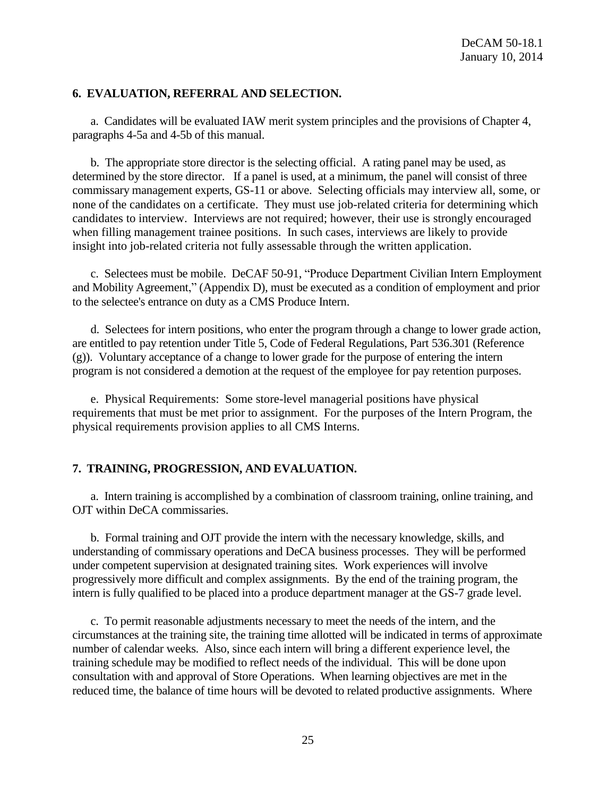#### **6. EVALUATION, REFERRAL AND SELECTION.**

a. Candidates will be evaluated IAW merit system principles and the provisions of Chapter 4, paragraphs 4-5a and 4-5b of this manual.

b. The appropriate store director is the selecting official. A rating panel may be used, as determined by the store director. If a panel is used, at a minimum, the panel will consist of three commissary management experts, GS-11 or above. Selecting officials may interview all, some, or none of the candidates on a certificate. They must use job-related criteria for determining which candidates to interview. Interviews are not required; however, their use is strongly encouraged when filling management trainee positions. In such cases, interviews are likely to provide insight into job-related criteria not fully assessable through the written application.

c. Selectees must be mobile. DeCAF 50-91, "Produce Department Civilian Intern Employment and Mobility Agreement," (Appendix D), must be executed as a condition of employment and prior to the selectee's entrance on duty as a CMS Produce Intern.

d. Selectees for intern positions, who enter the program through a change to lower grade action, are entitled to pay retention under Title 5, Code of Federal Regulations, Part 536.301 (Reference (g)). Voluntary acceptance of a change to lower grade for the purpose of entering the intern program is not considered a demotion at the request of the employee for pay retention purposes.

e. Physical Requirements: Some store-level managerial positions have physical requirements that must be met prior to assignment. For the purposes of the Intern Program, the physical requirements provision applies to all CMS Interns.

#### **7. TRAINING, PROGRESSION, AND EVALUATION.**

a. Intern training is accomplished by a combination of classroom training, online training, and OJT within DeCA commissaries.

b. Formal training and OJT provide the intern with the necessary knowledge, skills, and understanding of commissary operations and DeCA business processes. They will be performed under competent supervision at designated training sites. Work experiences will involve progressively more difficult and complex assignments. By the end of the training program, the intern is fully qualified to be placed into a produce department manager at the GS-7 grade level.

c. To permit reasonable adjustments necessary to meet the needs of the intern, and the circumstances at the training site, the training time allotted will be indicated in terms of approximate number of calendar weeks. Also, since each intern will bring a different experience level, the training schedule may be modified to reflect needs of the individual. This will be done upon consultation with and approval of Store Operations. When learning objectives are met in the reduced time, the balance of time hours will be devoted to related productive assignments. Where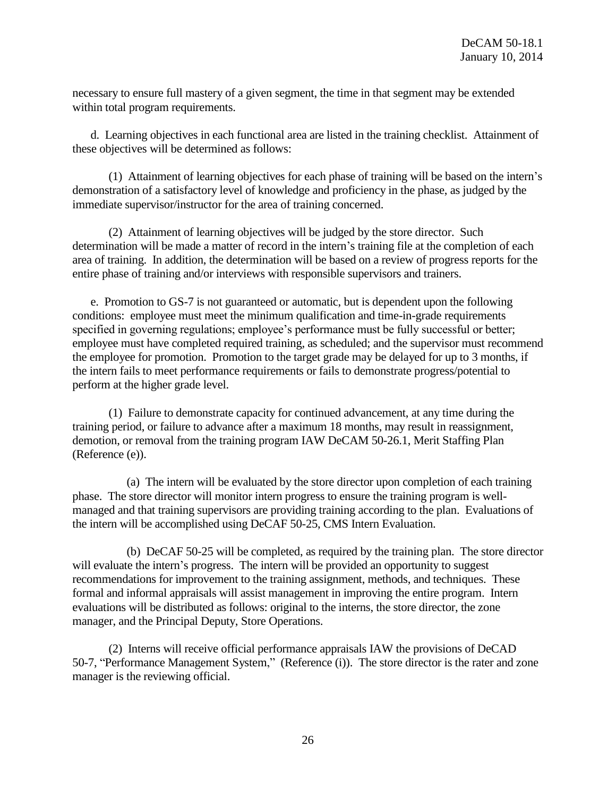necessary to ensure full mastery of a given segment, the time in that segment may be extended within total program requirements.

d. Learning objectives in each functional area are listed in the training checklist. Attainment of these objectives will be determined as follows:

(1) Attainment of learning objectives for each phase of training will be based on the intern's demonstration of a satisfactory level of knowledge and proficiency in the phase, as judged by the immediate supervisor/instructor for the area of training concerned.

(2) Attainment of learning objectives will be judged by the store director. Such determination will be made a matter of record in the intern's training file at the completion of each area of training. In addition, the determination will be based on a review of progress reports for the entire phase of training and/or interviews with responsible supervisors and trainers.

e. Promotion to GS-7 is not guaranteed or automatic, but is dependent upon the following conditions: employee must meet the minimum qualification and time-in-grade requirements specified in governing regulations; employee's performance must be fully successful or better; employee must have completed required training, as scheduled; and the supervisor must recommend the employee for promotion. Promotion to the target grade may be delayed for up to 3 months, if the intern fails to meet performance requirements or fails to demonstrate progress/potential to perform at the higher grade level.

(1) Failure to demonstrate capacity for continued advancement, at any time during the training period, or failure to advance after a maximum 18 months, may result in reassignment, demotion, or removal from the training program IAW DeCAM 50-26.1, Merit Staffing Plan (Reference (e)).

(a) The intern will be evaluated by the store director upon completion of each training phase. The store director will monitor intern progress to ensure the training program is wellmanaged and that training supervisors are providing training according to the plan. Evaluations of the intern will be accomplished using DeCAF 50-25, CMS Intern Evaluation.

(b) DeCAF 50-25 will be completed, as required by the training plan. The store director will evaluate the intern's progress. The intern will be provided an opportunity to suggest recommendations for improvement to the training assignment, methods, and techniques. These formal and informal appraisals will assist management in improving the entire program. Intern evaluations will be distributed as follows: original to the interns, the store director, the zone manager, and the Principal Deputy, Store Operations.

(2) Interns will receive official performance appraisals IAW the provisions of DeCAD 50-7, "Performance Management System," (Reference (i)). The store director is the rater and zone manager is the reviewing official.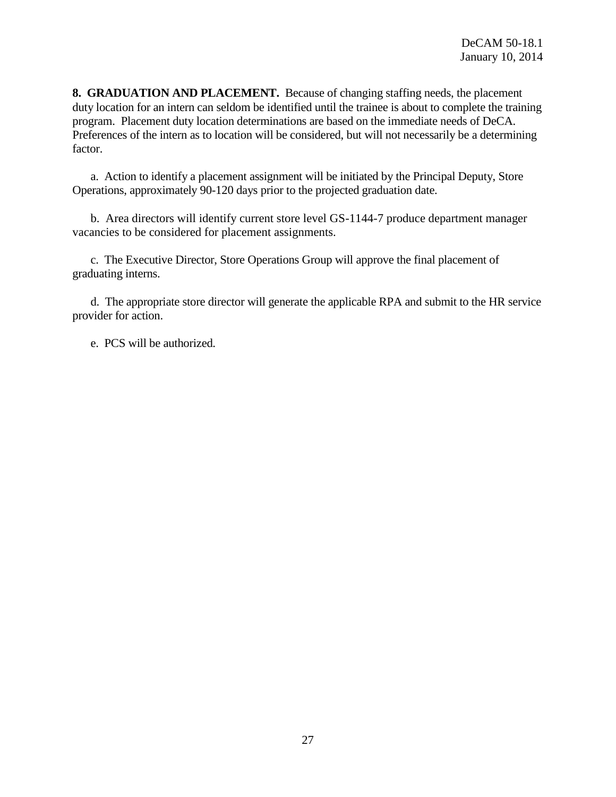**8. GRADUATION AND PLACEMENT.** Because of changing staffing needs, the placement duty location for an intern can seldom be identified until the trainee is about to complete the training program. Placement duty location determinations are based on the immediate needs of DeCA. Preferences of the intern as to location will be considered, but will not necessarily be a determining factor.

a. Action to identify a placement assignment will be initiated by the Principal Deputy, Store Operations, approximately 90-120 days prior to the projected graduation date.

b. Area directors will identify current store level GS-1144-7 produce department manager vacancies to be considered for placement assignments.

c. The Executive Director, Store Operations Group will approve the final placement of graduating interns.

d. The appropriate store director will generate the applicable RPA and submit to the HR service provider for action.

e. PCS will be authorized.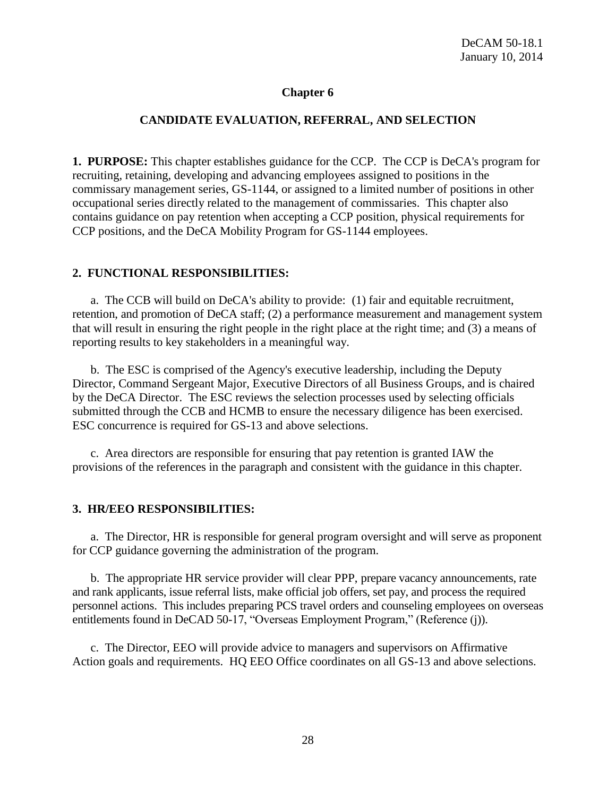### **Chapter 6**

#### **CANDIDATE EVALUATION, REFERRAL, AND SELECTION**

**1. PURPOSE:** This chapter establishes guidance for the CCP. The CCP is DeCA's program for recruiting, retaining, developing and advancing employees assigned to positions in the commissary management series, GS-1144, or assigned to a limited number of positions in other occupational series directly related to the management of commissaries. This chapter also contains guidance on pay retention when accepting a CCP position, physical requirements for CCP positions, and the DeCA Mobility Program for GS-1144 employees.

#### **2. FUNCTIONAL RESPONSIBILITIES:**

a. The CCB will build on DeCA's ability to provide: (1) fair and equitable recruitment, retention, and promotion of DeCA staff; (2) a performance measurement and management system that will result in ensuring the right people in the right place at the right time; and (3) a means of reporting results to key stakeholders in a meaningful way.

b. The ESC is comprised of the Agency's executive leadership, including the Deputy Director, Command Sergeant Major, Executive Directors of all Business Groups, and is chaired by the DeCA Director. The ESC reviews the selection processes used by selecting officials submitted through the CCB and HCMB to ensure the necessary diligence has been exercised. ESC concurrence is required for GS-13 and above selections.

c. Area directors are responsible for ensuring that pay retention is granted IAW the provisions of the references in the paragraph and consistent with the guidance in this chapter.

#### **3. HR/EEO RESPONSIBILITIES:**

a. The Director, HR is responsible for general program oversight and will serve as proponent for CCP guidance governing the administration of the program.

b. The appropriate HR service provider will clear PPP, prepare vacancy announcements, rate and rank applicants, issue referral lists, make official job offers, set pay, and process the required personnel actions. This includes preparing PCS travel orders and counseling employees on overseas entitlements found in DeCAD 50-17, "Overseas Employment Program," (Reference (j)).

c. The Director, EEO will provide advice to managers and supervisors on Affirmative Action goals and requirements. HQ EEO Office coordinates on all GS-13 and above selections.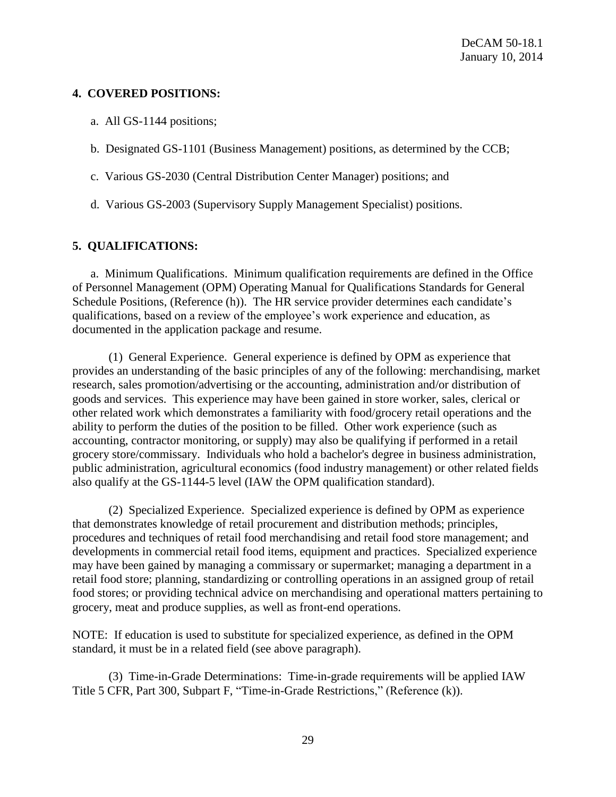### **4. COVERED POSITIONS:**

- a. All GS-1144 positions;
- b. Designated GS-1101 (Business Management) positions, as determined by the CCB;
- c. Various GS-2030 (Central Distribution Center Manager) positions; and
- d. Various GS-2003 (Supervisory Supply Management Specialist) positions.

# **5. QUALIFICATIONS:**

a. Minimum Qualifications. Minimum qualification requirements are defined in the Office of Personnel Management (OPM) Operating Manual for Qualifications Standards for General Schedule Positions, (Reference (h)). The HR service provider determines each candidate's qualifications, based on a review of the employee's work experience and education, as documented in the application package and resume.

(1) General Experience. General experience is defined by OPM as experience that provides an understanding of the basic principles of any of the following: merchandising, market research, sales promotion/advertising or the accounting, administration and/or distribution of goods and services. This experience may have been gained in store worker, sales, clerical or other related work which demonstrates a familiarity with food/grocery retail operations and the ability to perform the duties of the position to be filled. Other work experience (such as accounting, contractor monitoring, or supply) may also be qualifying if performed in a retail grocery store/commissary. Individuals who hold a bachelor's degree in business administration, public administration, agricultural economics (food industry management) or other related fields also qualify at the GS-1144-5 level (IAW the OPM qualification standard).

(2) Specialized Experience. Specialized experience is defined by OPM as experience that demonstrates knowledge of retail procurement and distribution methods; principles, procedures and techniques of retail food merchandising and retail food store management; and developments in commercial retail food items, equipment and practices. Specialized experience may have been gained by managing a commissary or supermarket; managing a department in a retail food store; planning, standardizing or controlling operations in an assigned group of retail food stores; or providing technical advice on merchandising and operational matters pertaining to grocery, meat and produce supplies, as well as front-end operations.

NOTE: If education is used to substitute for specialized experience, as defined in the OPM standard, it must be in a related field (see above paragraph).

(3) Time-in-Grade Determinations: Time-in-grade requirements will be applied IAW Title 5 CFR, Part 300, Subpart F, "Time-in-Grade Restrictions," (Reference (k)).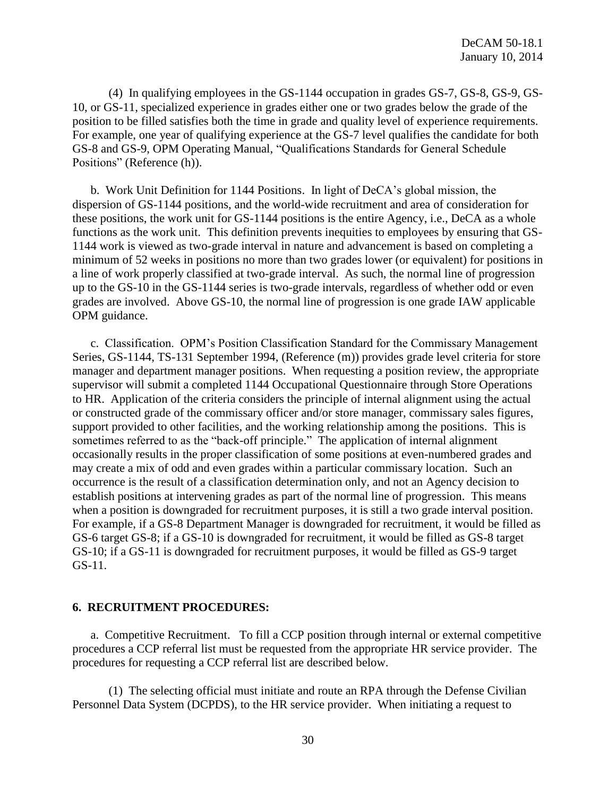(4) In qualifying employees in the GS-1144 occupation in grades GS-7, GS-8, GS-9, GS-10, or GS-11, specialized experience in grades either one or two grades below the grade of the position to be filled satisfies both the time in grade and quality level of experience requirements. For example, one year of qualifying experience at the GS-7 level qualifies the candidate for both GS-8 and GS-9, OPM Operating Manual, "Qualifications Standards for General Schedule Positions" (Reference (h)).

b. Work Unit Definition for 1144 Positions. In light of DeCA's global mission, the dispersion of GS-1144 positions, and the world-wide recruitment and area of consideration for these positions, the work unit for GS-1144 positions is the entire Agency, i.e., DeCA as a whole functions as the work unit. This definition prevents inequities to employees by ensuring that GS-1144 work is viewed as two-grade interval in nature and advancement is based on completing a minimum of 52 weeks in positions no more than two grades lower (or equivalent) for positions in a line of work properly classified at two-grade interval. As such, the normal line of progression up to the GS-10 in the GS-1144 series is two-grade intervals, regardless of whether odd or even grades are involved. Above GS-10, the normal line of progression is one grade IAW applicable OPM guidance.

c. Classification. OPM's Position Classification Standard for the Commissary Management Series, GS-1144, TS-131 September 1994, (Reference (m)) provides grade level criteria for store manager and department manager positions. When requesting a position review, the appropriate supervisor will submit a completed 1144 Occupational Questionnaire through Store Operations to HR. Application of the criteria considers the principle of internal alignment using the actual or constructed grade of the commissary officer and/or store manager, commissary sales figures, support provided to other facilities, and the working relationship among the positions. This is sometimes referred to as the "back-off principle." The application of internal alignment occasionally results in the proper classification of some positions at even-numbered grades and may create a mix of odd and even grades within a particular commissary location. Such an occurrence is the result of a classification determination only, and not an Agency decision to establish positions at intervening grades as part of the normal line of progression. This means when a position is downgraded for recruitment purposes, it is still a two grade interval position. For example, if a GS-8 Department Manager is downgraded for recruitment, it would be filled as GS-6 target GS-8; if a GS-10 is downgraded for recruitment, it would be filled as GS-8 target GS-10; if a GS-11 is downgraded for recruitment purposes, it would be filled as GS-9 target GS-11.

#### **6. RECRUITMENT PROCEDURES:**

a. Competitive Recruitment. To fill a CCP position through internal or external competitive procedures a CCP referral list must be requested from the appropriate HR service provider. The procedures for requesting a CCP referral list are described below.

(1) The selecting official must initiate and route an RPA through the Defense Civilian Personnel Data System (DCPDS), to the HR service provider. When initiating a request to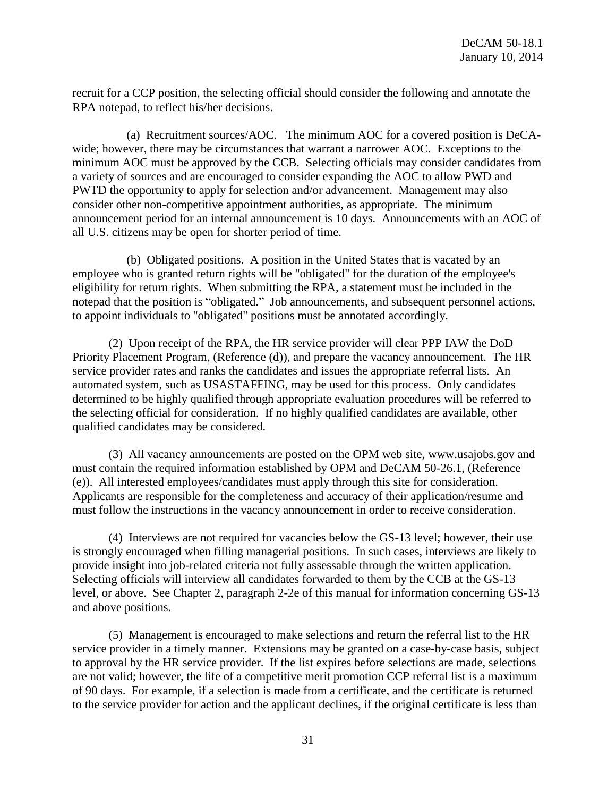recruit for a CCP position, the selecting official should consider the following and annotate the RPA notepad, to reflect his/her decisions.

(a) Recruitment sources/AOC. The minimum AOC for a covered position is DeCAwide; however, there may be circumstances that warrant a narrower AOC. Exceptions to the minimum AOC must be approved by the CCB. Selecting officials may consider candidates from a variety of sources and are encouraged to consider expanding the AOC to allow PWD and PWTD the opportunity to apply for selection and/or advancement. Management may also consider other non-competitive appointment authorities, as appropriate. The minimum announcement period for an internal announcement is 10 days. Announcements with an AOC of all U.S. citizens may be open for shorter period of time.

(b) Obligated positions. A position in the United States that is vacated by an employee who is granted return rights will be "obligated" for the duration of the employee's eligibility for return rights. When submitting the RPA, a statement must be included in the notepad that the position is "obligated." Job announcements, and subsequent personnel actions, to appoint individuals to "obligated" positions must be annotated accordingly.

(2) Upon receipt of the RPA, the HR service provider will clear PPP IAW the DoD Priority Placement Program, (Reference (d)), and prepare the vacancy announcement. The HR service provider rates and ranks the candidates and issues the appropriate referral lists. An automated system, such as USASTAFFING, may be used for this process. Only candidates determined to be highly qualified through appropriate evaluation procedures will be referred to the selecting official for consideration. If no highly qualified candidates are available, other qualified candidates may be considered.

(3) All vacancy announcements are posted on the OPM web site, www.usajobs.gov and must contain the required information established by OPM and DeCAM 50-26.1, (Reference (e)). All interested employees/candidates must apply through this site for consideration. Applicants are responsible for the completeness and accuracy of their application/resume and must follow the instructions in the vacancy announcement in order to receive consideration.

(4) Interviews are not required for vacancies below the GS-13 level; however, their use is strongly encouraged when filling managerial positions. In such cases, interviews are likely to provide insight into job-related criteria not fully assessable through the written application. Selecting officials will interview all candidates forwarded to them by the CCB at the GS-13 level, or above. See Chapter 2, paragraph 2-2e of this manual for information concerning GS-13 and above positions.

(5) Management is encouraged to make selections and return the referral list to the HR service provider in a timely manner. Extensions may be granted on a case-by-case basis, subject to approval by the HR service provider. If the list expires before selections are made, selections are not valid; however, the life of a competitive merit promotion CCP referral list is a maximum of 90 days. For example, if a selection is made from a certificate, and the certificate is returned to the service provider for action and the applicant declines, if the original certificate is less than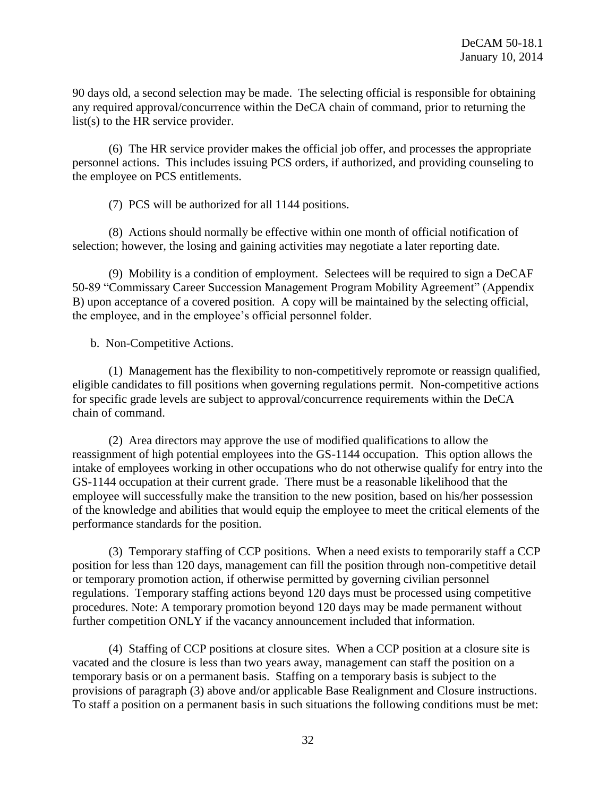90 days old, a second selection may be made. The selecting official is responsible for obtaining any required approval/concurrence within the DeCA chain of command, prior to returning the list(s) to the HR service provider.

(6) The HR service provider makes the official job offer, and processes the appropriate personnel actions. This includes issuing PCS orders, if authorized, and providing counseling to the employee on PCS entitlements.

(7) PCS will be authorized for all 1144 positions.

(8) Actions should normally be effective within one month of official notification of selection; however, the losing and gaining activities may negotiate a later reporting date.

(9) Mobility is a condition of employment. Selectees will be required to sign a DeCAF 50-89 "Commissary Career Succession Management Program Mobility Agreement" (Appendix B) upon acceptance of a covered position. A copy will be maintained by the selecting official, the employee, and in the employee's official personnel folder.

b. Non-Competitive Actions.

(1) Management has the flexibility to non-competitively repromote or reassign qualified, eligible candidates to fill positions when governing regulations permit. Non-competitive actions for specific grade levels are subject to approval/concurrence requirements within the DeCA chain of command.

(2) Area directors may approve the use of modified qualifications to allow the reassignment of high potential employees into the GS-1144 occupation. This option allows the intake of employees working in other occupations who do not otherwise qualify for entry into the GS-1144 occupation at their current grade. There must be a reasonable likelihood that the employee will successfully make the transition to the new position, based on his/her possession of the knowledge and abilities that would equip the employee to meet the critical elements of the performance standards for the position.

(3) Temporary staffing of CCP positions. When a need exists to temporarily staff a CCP position for less than 120 days, management can fill the position through non-competitive detail or temporary promotion action, if otherwise permitted by governing civilian personnel regulations. Temporary staffing actions beyond 120 days must be processed using competitive procedures. Note: A temporary promotion beyond 120 days may be made permanent without further competition ONLY if the vacancy announcement included that information.

(4) Staffing of CCP positions at closure sites. When a CCP position at a closure site is vacated and the closure is less than two years away, management can staff the position on a temporary basis or on a permanent basis. Staffing on a temporary basis is subject to the provisions of paragraph (3) above and/or applicable Base Realignment and Closure instructions. To staff a position on a permanent basis in such situations the following conditions must be met: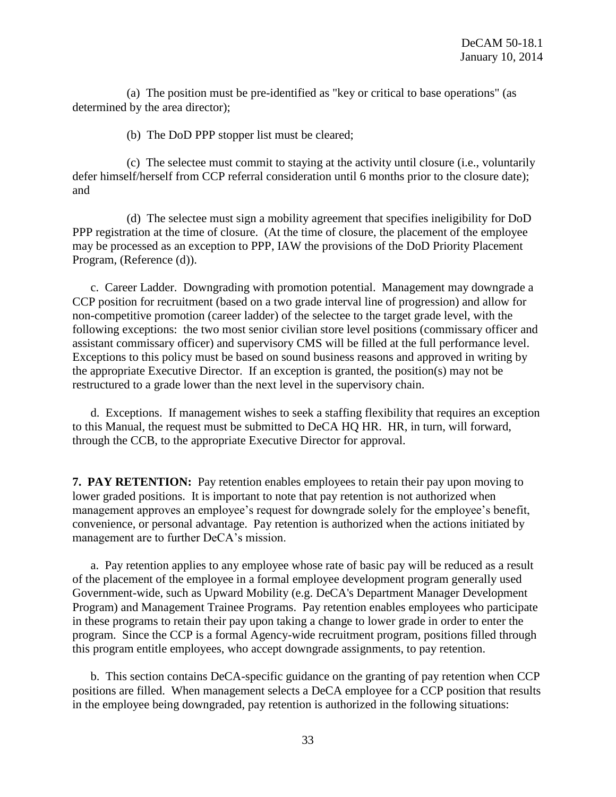(a) The position must be pre-identified as "key or critical to base operations" (as determined by the area director);

(b) The DoD PPP stopper list must be cleared;

(c) The selectee must commit to staying at the activity until closure (i.e., voluntarily defer himself/herself from CCP referral consideration until 6 months prior to the closure date); and

(d) The selectee must sign a mobility agreement that specifies ineligibility for DoD PPP registration at the time of closure. (At the time of closure, the placement of the employee may be processed as an exception to PPP, IAW the provisions of the DoD Priority Placement Program, (Reference (d)).

c. Career Ladder. Downgrading with promotion potential. Management may downgrade a CCP position for recruitment (based on a two grade interval line of progression) and allow for non-competitive promotion (career ladder) of the selectee to the target grade level, with the following exceptions: the two most senior civilian store level positions (commissary officer and assistant commissary officer) and supervisory CMS will be filled at the full performance level. Exceptions to this policy must be based on sound business reasons and approved in writing by the appropriate Executive Director. If an exception is granted, the position(s) may not be restructured to a grade lower than the next level in the supervisory chain.

d. Exceptions. If management wishes to seek a staffing flexibility that requires an exception to this Manual, the request must be submitted to DeCA HQ HR. HR, in turn, will forward, through the CCB, to the appropriate Executive Director for approval.

**7. PAY RETENTION:** Pay retention enables employees to retain their pay upon moving to lower graded positions. It is important to note that pay retention is not authorized when management approves an employee's request for downgrade solely for the employee's benefit, convenience, or personal advantage. Pay retention is authorized when the actions initiated by management are to further DeCA's mission.

a. Pay retention applies to any employee whose rate of basic pay will be reduced as a result of the placement of the employee in a formal employee development program generally used Government-wide, such as Upward Mobility (e.g. DeCA's Department Manager Development Program) and Management Trainee Programs. Pay retention enables employees who participate in these programs to retain their pay upon taking a change to lower grade in order to enter the program. Since the CCP is a formal Agency-wide recruitment program, positions filled through this program entitle employees, who accept downgrade assignments, to pay retention.

b. This section contains DeCA-specific guidance on the granting of pay retention when CCP positions are filled. When management selects a DeCA employee for a CCP position that results in the employee being downgraded, pay retention is authorized in the following situations: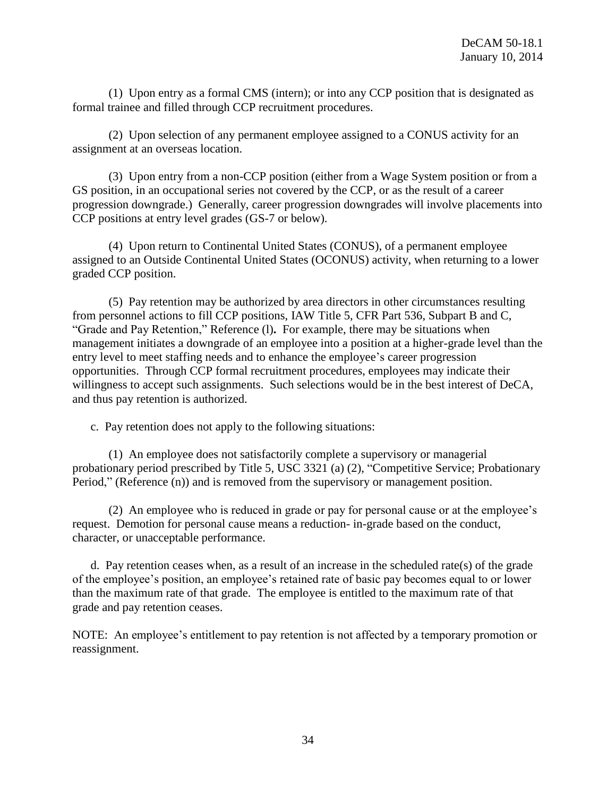(1) Upon entry as a formal CMS (intern); or into any CCP position that is designated as formal trainee and filled through CCP recruitment procedures.

(2) Upon selection of any permanent employee assigned to a CONUS activity for an assignment at an overseas location.

(3) Upon entry from a non-CCP position (either from a Wage System position or from a GS position, in an occupational series not covered by the CCP, or as the result of a career progression downgrade.) Generally, career progression downgrades will involve placements into CCP positions at entry level grades (GS-7 or below).

(4) Upon return to Continental United States (CONUS), of a permanent employee assigned to an Outside Continental United States (OCONUS) activity, when returning to a lower graded CCP position.

(5) Pay retention may be authorized by area directors in other circumstances resulting from personnel actions to fill CCP positions, IAW Title 5, CFR Part 536, Subpart B and C, "Grade and Pay Retention," Reference (l)**.** For example, there may be situations when management initiates a downgrade of an employee into a position at a higher-grade level than the entry level to meet staffing needs and to enhance the employee's career progression opportunities. Through CCP formal recruitment procedures, employees may indicate their willingness to accept such assignments. Such selections would be in the best interest of DeCA, and thus pay retention is authorized.

c. Pay retention does not apply to the following situations:

(1) An employee does not satisfactorily complete a supervisory or managerial probationary period prescribed by Title 5, USC 3321 (a) (2), "Competitive Service; Probationary Period," (Reference (n)) and is removed from the supervisory or management position.

(2) An employee who is reduced in grade or pay for personal cause or at the employee's request. Demotion for personal cause means a reduction- in-grade based on the conduct, character, or unacceptable performance.

d. Pay retention ceases when, as a result of an increase in the scheduled rate(s) of the grade of the employee's position, an employee's retained rate of basic pay becomes equal to or lower than the maximum rate of that grade. The employee is entitled to the maximum rate of that grade and pay retention ceases.

NOTE: An employee's entitlement to pay retention is not affected by a temporary promotion or reassignment.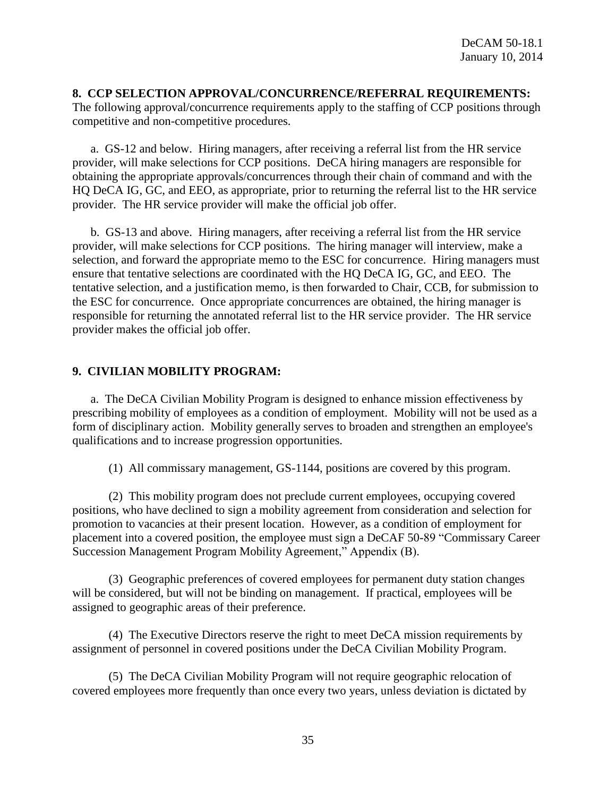#### **8. CCP SELECTION APPROVAL/CONCURRENCE/REFERRAL REQUIREMENTS:**

The following approval/concurrence requirements apply to the staffing of CCP positions through competitive and non-competitive procedures.

a. GS-12 and below. Hiring managers, after receiving a referral list from the HR service provider, will make selections for CCP positions. DeCA hiring managers are responsible for obtaining the appropriate approvals/concurrences through their chain of command and with the HQ DeCA IG, GC, and EEO, as appropriate, prior to returning the referral list to the HR service provider. The HR service provider will make the official job offer.

b. GS-13 and above. Hiring managers, after receiving a referral list from the HR service provider, will make selections for CCP positions. The hiring manager will interview, make a selection, and forward the appropriate memo to the ESC for concurrence. Hiring managers must ensure that tentative selections are coordinated with the HQ DeCA IG, GC, and EEO. The tentative selection, and a justification memo, is then forwarded to Chair, CCB, for submission to the ESC for concurrence. Once appropriate concurrences are obtained, the hiring manager is responsible for returning the annotated referral list to the HR service provider. The HR service provider makes the official job offer.

#### **9. CIVILIAN MOBILITY PROGRAM:**

a. The DeCA Civilian Mobility Program is designed to enhance mission effectiveness by prescribing mobility of employees as a condition of employment. Mobility will not be used as a form of disciplinary action. Mobility generally serves to broaden and strengthen an employee's qualifications and to increase progression opportunities.

(1) All commissary management, GS-1144, positions are covered by this program.

(2) This mobility program does not preclude current employees, occupying covered positions, who have declined to sign a mobility agreement from consideration and selection for promotion to vacancies at their present location. However, as a condition of employment for placement into a covered position, the employee must sign a DeCAF 50-89 "Commissary Career Succession Management Program Mobility Agreement," Appendix (B).

(3) Geographic preferences of covered employees for permanent duty station changes will be considered, but will not be binding on management. If practical, employees will be assigned to geographic areas of their preference.

(4) The Executive Directors reserve the right to meet DeCA mission requirements by assignment of personnel in covered positions under the DeCA Civilian Mobility Program.

(5) The DeCA Civilian Mobility Program will not require geographic relocation of covered employees more frequently than once every two years, unless deviation is dictated by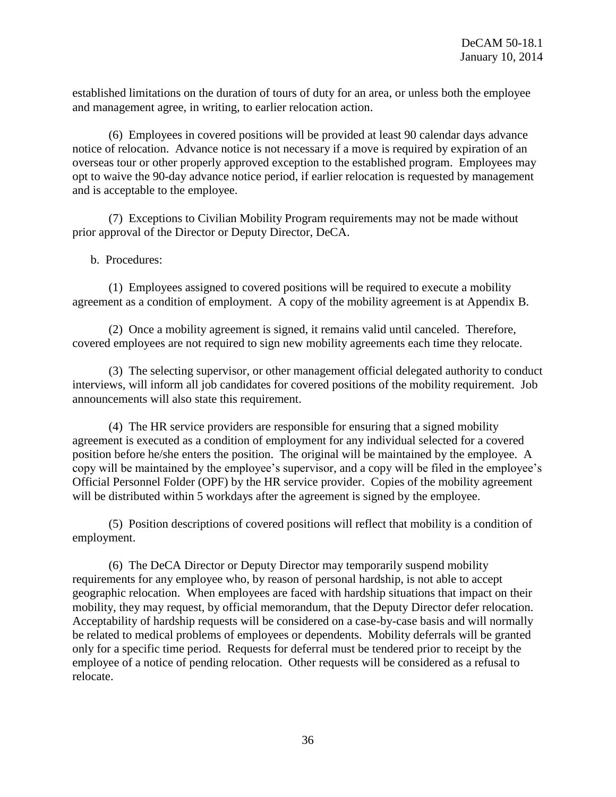established limitations on the duration of tours of duty for an area, or unless both the employee and management agree, in writing, to earlier relocation action.

(6) Employees in covered positions will be provided at least 90 calendar days advance notice of relocation. Advance notice is not necessary if a move is required by expiration of an overseas tour or other properly approved exception to the established program. Employees may opt to waive the 90-day advance notice period, if earlier relocation is requested by management and is acceptable to the employee.

(7) Exceptions to Civilian Mobility Program requirements may not be made without prior approval of the Director or Deputy Director, DeCA.

b. Procedures:

(1) Employees assigned to covered positions will be required to execute a mobility agreement as a condition of employment. A copy of the mobility agreement is at Appendix B.

(2) Once a mobility agreement is signed, it remains valid until canceled. Therefore, covered employees are not required to sign new mobility agreements each time they relocate.

(3) The selecting supervisor, or other management official delegated authority to conduct interviews, will inform all job candidates for covered positions of the mobility requirement. Job announcements will also state this requirement.

(4) The HR service providers are responsible for ensuring that a signed mobility agreement is executed as a condition of employment for any individual selected for a covered position before he/she enters the position. The original will be maintained by the employee. A copy will be maintained by the employee's supervisor, and a copy will be filed in the employee's Official Personnel Folder (OPF) by the HR service provider. Copies of the mobility agreement will be distributed within 5 workdays after the agreement is signed by the employee.

(5) Position descriptions of covered positions will reflect that mobility is a condition of employment.

(6) The DeCA Director or Deputy Director may temporarily suspend mobility requirements for any employee who, by reason of personal hardship, is not able to accept geographic relocation. When employees are faced with hardship situations that impact on their mobility, they may request, by official memorandum, that the Deputy Director defer relocation. Acceptability of hardship requests will be considered on a case-by-case basis and will normally be related to medical problems of employees or dependents. Mobility deferrals will be granted only for a specific time period. Requests for deferral must be tendered prior to receipt by the employee of a notice of pending relocation. Other requests will be considered as a refusal to relocate.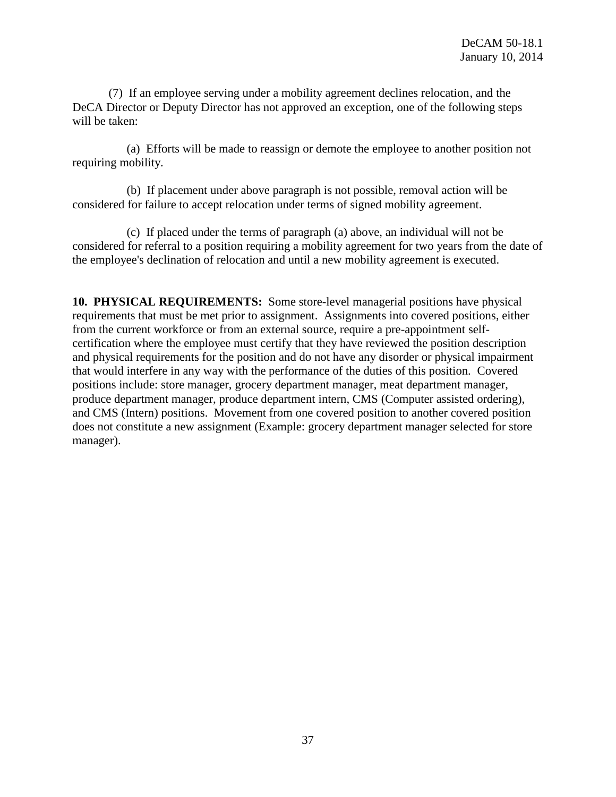(7) If an employee serving under a mobility agreement declines relocation, and the DeCA Director or Deputy Director has not approved an exception, one of the following steps will be taken:

(a) Efforts will be made to reassign or demote the employee to another position not requiring mobility.

(b) If placement under above paragraph is not possible, removal action will be considered for failure to accept relocation under terms of signed mobility agreement.

(c) If placed under the terms of paragraph (a) above, an individual will not be considered for referral to a position requiring a mobility agreement for two years from the date of the employee's declination of relocation and until a new mobility agreement is executed.

**10. PHYSICAL REQUIREMENTS:** Some store-level managerial positions have physical requirements that must be met prior to assignment. Assignments into covered positions, either from the current workforce or from an external source, require a pre-appointment selfcertification where the employee must certify that they have reviewed the position description and physical requirements for the position and do not have any disorder or physical impairment that would interfere in any way with the performance of the duties of this position. Covered positions include: store manager, grocery department manager, meat department manager, produce department manager, produce department intern, CMS (Computer assisted ordering), and CMS (Intern) positions. Movement from one covered position to another covered position does not constitute a new assignment (Example: grocery department manager selected for store manager).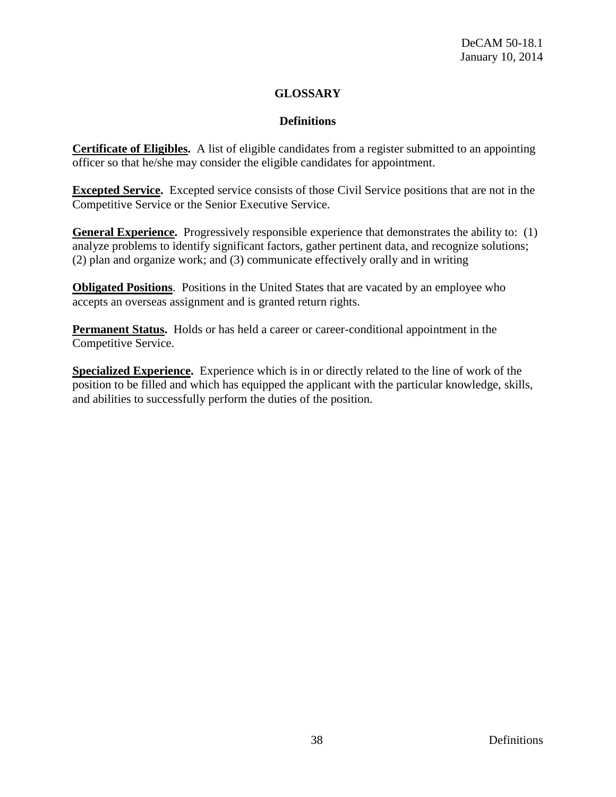# **GLOSSARY**

# **Definitions**

**Certificate of Eligibles.** A list of eligible candidates from a register submitted to an appointing officer so that he/she may consider the eligible candidates for appointment.

**Excepted Service.** Excepted service consists of those Civil Service positions that are not in the Competitive Service or the Senior Executive Service.

**General Experience.** Progressively responsible experience that demonstrates the ability to: (1) analyze problems to identify significant factors, gather pertinent data, and recognize solutions; (2) plan and organize work; and (3) communicate effectively orally and in writing

**Obligated Positions**. Positions in the United States that are vacated by an employee who accepts an overseas assignment and is granted return rights.

**Permanent Status.** Holds or has held a career or career-conditional appointment in the Competitive Service.

**Specialized Experience.** Experience which is in or directly related to the line of work of the position to be filled and which has equipped the applicant with the particular knowledge, skills, and abilities to successfully perform the duties of the position.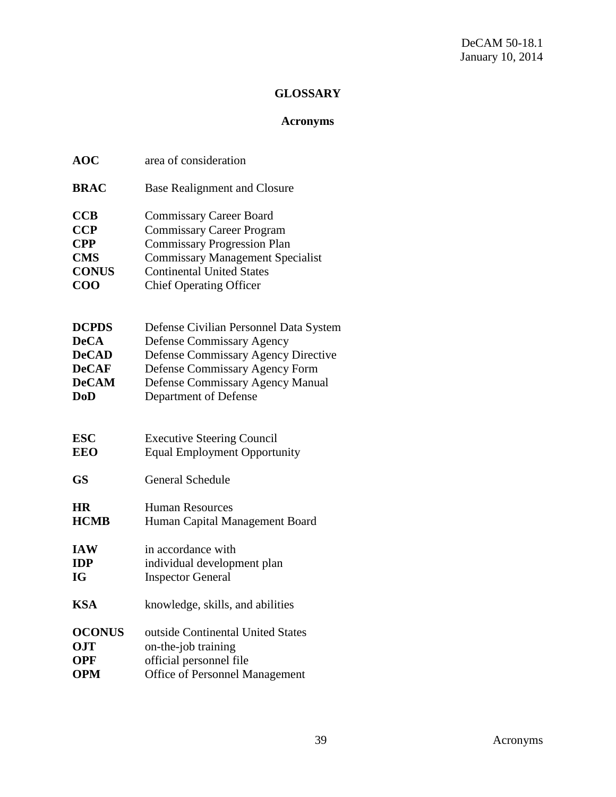# **GLOSSARY**

# **Acronyms**

| <b>AOC</b>    | area of consideration                   |
|---------------|-----------------------------------------|
| <b>BRAC</b>   | <b>Base Realignment and Closure</b>     |
| <b>CCB</b>    | <b>Commissary Career Board</b>          |
| <b>CCP</b>    | <b>Commissary Career Program</b>        |
| <b>CPP</b>    | <b>Commissary Progression Plan</b>      |
| <b>CMS</b>    | <b>Commissary Management Specialist</b> |
| <b>CONUS</b>  | <b>Continental United States</b>        |
| $\bf COO$     | <b>Chief Operating Officer</b>          |
| <b>DCPDS</b>  | Defense Civilian Personnel Data System  |
| <b>DeCA</b>   | <b>Defense Commissary Agency</b>        |
| <b>DeCAD</b>  | Defense Commissary Agency Directive     |
| <b>DeCAF</b>  | Defense Commissary Agency Form          |
| <b>DeCAM</b>  | <b>Defense Commissary Agency Manual</b> |
| <b>DoD</b>    | Department of Defense                   |
| <b>ESC</b>    | <b>Executive Steering Council</b>       |
| <b>EEO</b>    | <b>Equal Employment Opportunity</b>     |
| <b>GS</b>     | <b>General Schedule</b>                 |
| <b>HR</b>     | <b>Human Resources</b>                  |
| <b>HCMB</b>   | Human Capital Management Board          |
| <b>IAW</b>    | in accordance with                      |
| <b>IDP</b>    | individual development plan             |
| <b>IG</b>     | <b>Inspector General</b>                |
| <b>KSA</b>    | knowledge, skills, and abilities        |
| <b>OCONUS</b> | outside Continental United States       |
| <b>OJT</b>    | on-the-job training                     |
| <b>OPF</b>    | official personnel file                 |
| <b>OPM</b>    | <b>Office of Personnel Management</b>   |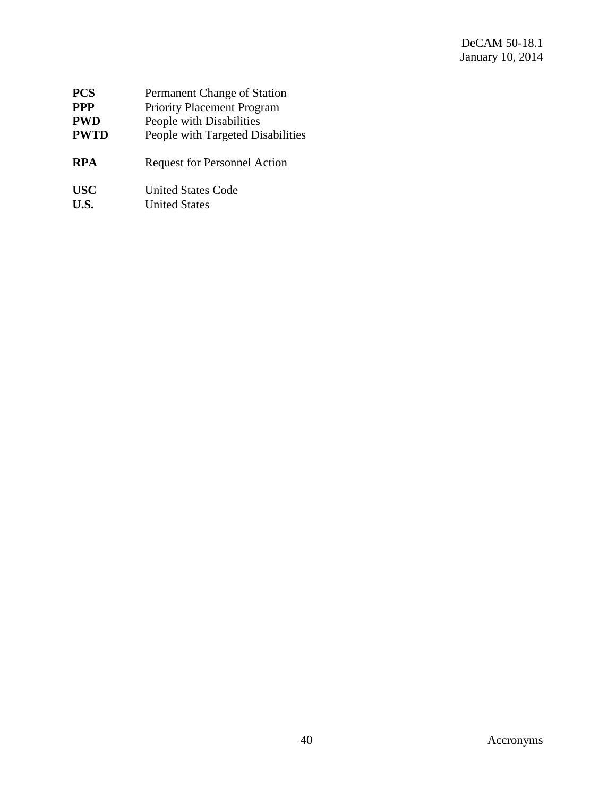| <b>PCS</b>  | Permanent Change of Station         |
|-------------|-------------------------------------|
| <b>PPP</b>  | <b>Priority Placement Program</b>   |
| <b>PWD</b>  | People with Disabilities            |
| <b>PWTD</b> | People with Targeted Disabilities   |
| <b>RPA</b>  | <b>Request for Personnel Action</b> |
| <b>USC</b>  | <b>United States Code</b>           |
| U.S.        | <b>United States</b>                |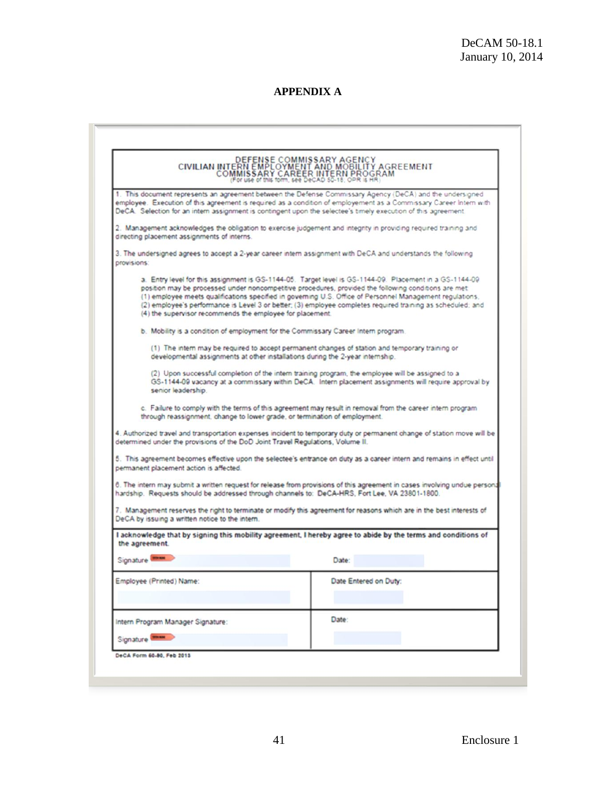# **APPENDIX A**

| directing placement assignments of interns.                                     | 1. This document represents an agreement between the Defense Commissary Agency (DeCA) and the undersigned<br>employee. Execution of this agreement is required as a condition of employement as a Commissary Career Intern with<br>DeCA. Selection for an intern assignment is contingent upon the selectee's timely execution of this agreement.<br>2. Management acknowledges the obligation to exercise judgement and integrity in providing required training and |
|---------------------------------------------------------------------------------|-----------------------------------------------------------------------------------------------------------------------------------------------------------------------------------------------------------------------------------------------------------------------------------------------------------------------------------------------------------------------------------------------------------------------------------------------------------------------|
|                                                                                 |                                                                                                                                                                                                                                                                                                                                                                                                                                                                       |
|                                                                                 |                                                                                                                                                                                                                                                                                                                                                                                                                                                                       |
| provisions:                                                                     | 3. The undersigned agrees to accept a 2-year career intern assignment with DeCA and understands the following                                                                                                                                                                                                                                                                                                                                                         |
| (4) the supervisor recommends the employee for placement.                       | a. Entry level for this assignment is GS-1144-05. Target level is GS-1144-09. Placement in a GS-1144-09.<br>position may be processed under noncompetitive procedures, provided the following conditions are met<br>(1) employee meets qualifications specified in governing U.S. Office of Personnel Management regulations,<br>(2) employee's performance is Level 3 or better; (3) employee completes required training as scheduled; and                          |
|                                                                                 | b. Mobility is a condition of employment for the Commissary Career Intern program.                                                                                                                                                                                                                                                                                                                                                                                    |
|                                                                                 | (1) The intern may be required to accept permanent changes of station and temporary training or<br>developmental assignments at other installations during the 2-year internship.                                                                                                                                                                                                                                                                                     |
| senior leadership.                                                              | (2) Upon successful completion of the intern training program, the employee will be assigned to a<br>GS-1144-09 vacancy at a commissary within DeCA. Intern placement assignments will require approval by                                                                                                                                                                                                                                                            |
| through reassignment, change to lower grade, or termination of employment.      | c. Failure to comply with the terms of this agreement may result in removal from the career intern program                                                                                                                                                                                                                                                                                                                                                            |
| determined under the provisions of the DoD Joint Travel Regulations, Volume II. | 4. Authorized travel and transportation expenses incident to temporary duty or permanent change of station move will be                                                                                                                                                                                                                                                                                                                                               |
| permanent placement action is affected.                                         | 5. This agreement becomes effective upon the selectee's entrance on duty as a career intern and remains in effect until                                                                                                                                                                                                                                                                                                                                               |
|                                                                                 | 6. The intern may submit a written request for release from provisions of this agreement in cases involving undue persona<br>hardship. Requests should be addressed through channels to: DeCA-HRS, Fort Lee, VA 23801-1800.                                                                                                                                                                                                                                           |
| DeCA by issuing a written notice to the intern.                                 | 7. Management reserves the right to terminate or modify this agreement for reasons which are in the best interests of                                                                                                                                                                                                                                                                                                                                                 |
| the agreement.                                                                  | I acknowledge that by signing this mobility agreement. I hereby agree to abide by the terms and conditions of                                                                                                                                                                                                                                                                                                                                                         |
| Signature                                                                       | Date:                                                                                                                                                                                                                                                                                                                                                                                                                                                                 |
| Employee (Printed) Name:                                                        | Date Entered on Duty:                                                                                                                                                                                                                                                                                                                                                                                                                                                 |
| Intern Program Manager Signature:                                               | Date:                                                                                                                                                                                                                                                                                                                                                                                                                                                                 |
| Signature <sup>Dec</sup>                                                        |                                                                                                                                                                                                                                                                                                                                                                                                                                                                       |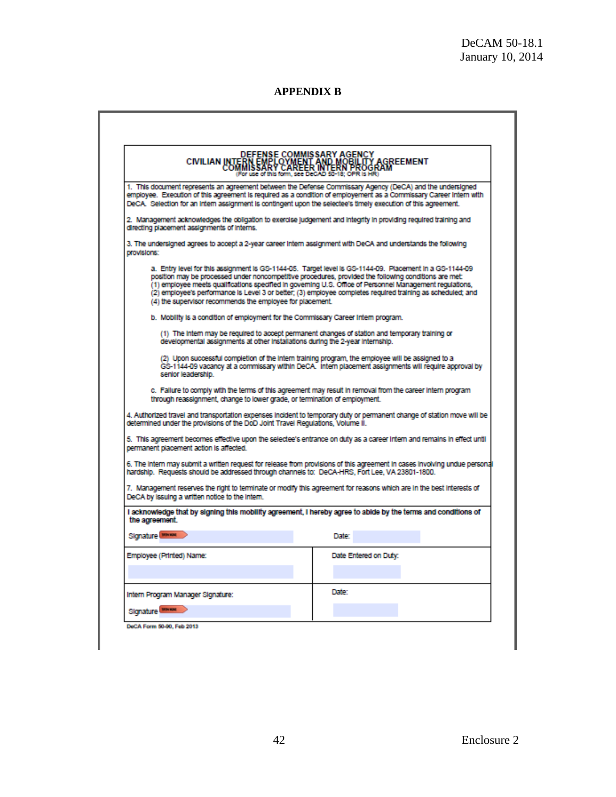٦

**APPENDIX B**

| <b>DEFENSE COMMISSARY AGENCY</b><br>CIVILIAN INTERN EMPLOYMENT AND MOBILITY AGREEMENT<br>COMMISSARY CAREER INTERN PROGRAM<br>For use of this form, see DeCAD 50-18; OPR Is HR) |                                                                                                                                                                                                                                                                                                                                                                                                                                              |  |
|--------------------------------------------------------------------------------------------------------------------------------------------------------------------------------|----------------------------------------------------------------------------------------------------------------------------------------------------------------------------------------------------------------------------------------------------------------------------------------------------------------------------------------------------------------------------------------------------------------------------------------------|--|
|                                                                                                                                                                                | 1. This document represents an agreement between the Defense Commissary Agency (DeCA) and the undersigned                                                                                                                                                                                                                                                                                                                                    |  |
| DeCA. Selection for an intern assignment is contingent upon the selectee's timely execution of this agreement.                                                                 | employee. Execution of this agreement is required as a condition of employement as a Commissary Career Intern with                                                                                                                                                                                                                                                                                                                           |  |
| directing placement assignments of interns.                                                                                                                                    | 2. Management acknowledges the obligation to exercise judgement and integrity in providing regulred training and                                                                                                                                                                                                                                                                                                                             |  |
| 3. The undersigned agrees to accept a 2-year career intern assignment with DeCA and understands the following<br>provisions:                                                   |                                                                                                                                                                                                                                                                                                                                                                                                                                              |  |
| (4) the supervisor recommends the employee for placement.                                                                                                                      | a. Entry level for this assignment is GS-1144-05. Target level is GS-1144-09. Placement in a GS-1144-09<br>position may be processed under noncompetitive procedures, provided the following conditions are met:<br>(1) employee meets qualifications specified in governing U.S. Office of Personnel Management regulations,<br>(2) employee's performance is Level 3 or better; (3) employee completes required training as scheduled; and |  |
| b. Mobility is a condition of employment for the Commissary Career Intern program.                                                                                             |                                                                                                                                                                                                                                                                                                                                                                                                                                              |  |
| developmental assignments at other installations during the 2-year internship.                                                                                                 | (1) The intern may be required to accept permanent changes of station and temporary training or                                                                                                                                                                                                                                                                                                                                              |  |
| senior leadership.                                                                                                                                                             | (2) Upon successful completion of the intern training program, the employee will be assigned to a<br>GS-1144-09 vacancy at a commissary within DeCA. Intern placement assignments will require approval by                                                                                                                                                                                                                                   |  |
| through reassignment, change to lower grade, or termination of employment.                                                                                                     | c. Failure to comply with the terms of this agreement may result in removal from the career intern program                                                                                                                                                                                                                                                                                                                                   |  |
| determined under the provisions of the DoD Joint Travel Regulations, Volume II.                                                                                                | 4. Authorized travel and transportation expenses incident to temporary duty or permanent change of station move will be                                                                                                                                                                                                                                                                                                                      |  |
| permanent placement action is affected.                                                                                                                                        | 5. This agreement becomes effective upon the selectee's entrance on duty as a career intern and remains in effect until                                                                                                                                                                                                                                                                                                                      |  |
| hardship. Requests should be addressed through channels to: DeCA-HRS, Fort Lee, VA 23801-1800.                                                                                 | 6. The intern may submit a written request for release from provisions of this agreement in cases involving undue personal                                                                                                                                                                                                                                                                                                                   |  |
| DeCA by issuing a written notice to the Intern.                                                                                                                                | 7. Management reserves the right to terminate or modify this agreement for reasons which are in the best interests of                                                                                                                                                                                                                                                                                                                        |  |
| the agreement.                                                                                                                                                                 | i acknowledge that by signing this mobility agreement, I hereby agree to abide by the terms and conditions of                                                                                                                                                                                                                                                                                                                                |  |
| Slonature <b>MARKAN</b>                                                                                                                                                        | <b>Date:</b>                                                                                                                                                                                                                                                                                                                                                                                                                                 |  |
| Employee (Printed) Name:                                                                                                                                                       | Date Entered on Duty:                                                                                                                                                                                                                                                                                                                                                                                                                        |  |
| Intern Program Manager Signature:                                                                                                                                              | Date:                                                                                                                                                                                                                                                                                                                                                                                                                                        |  |
| Signature <b>MARGIN</b>                                                                                                                                                        |                                                                                                                                                                                                                                                                                                                                                                                                                                              |  |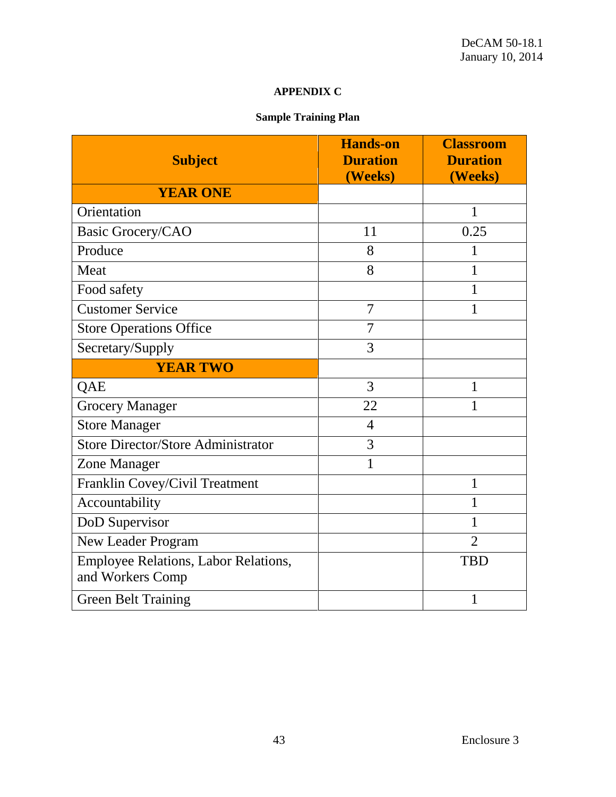# **APPENDIX C**

# **Sample Training Plan**

| <b>Subject</b>                                           | <b>Hands-on</b><br><b>Duration</b><br>(Weeks) | <b>Classroom</b><br><b>Duration</b><br>(Weeks) |
|----------------------------------------------------------|-----------------------------------------------|------------------------------------------------|
| <b>YEAR ONE</b>                                          |                                               |                                                |
| Orientation                                              |                                               | 1                                              |
| <b>Basic Grocery/CAO</b>                                 | 11                                            | 0.25                                           |
| Produce                                                  | 8                                             | 1                                              |
| Meat                                                     | 8                                             | 1                                              |
| Food safety                                              |                                               | 1                                              |
| <b>Customer Service</b>                                  | 7                                             | 1                                              |
| <b>Store Operations Office</b>                           | 7                                             |                                                |
| Secretary/Supply                                         | 3                                             |                                                |
| <b>YEAR TWO</b>                                          |                                               |                                                |
| QAE                                                      | 3                                             | $\mathbf{1}$                                   |
| <b>Grocery Manager</b>                                   | 22                                            | 1                                              |
| <b>Store Manager</b>                                     | $\overline{4}$                                |                                                |
| <b>Store Director/Store Administrator</b>                | 3                                             |                                                |
| Zone Manager                                             | $\mathbf 1$                                   |                                                |
| Franklin Covey/Civil Treatment                           |                                               | $\mathbf{1}$                                   |
| Accountability                                           |                                               | 1                                              |
| DoD Supervisor                                           |                                               | 1                                              |
| New Leader Program                                       |                                               | $\overline{2}$                                 |
| Employee Relations, Labor Relations,<br>and Workers Comp |                                               | <b>TBD</b>                                     |
| <b>Green Belt Training</b>                               |                                               | 1                                              |